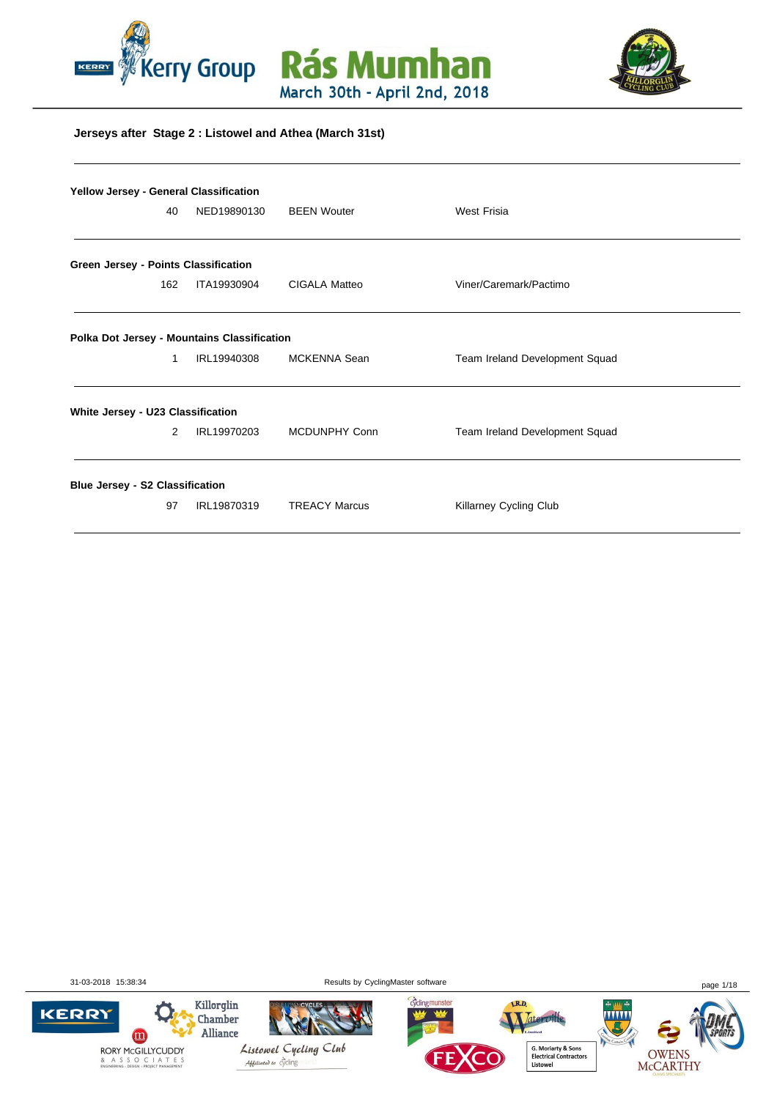





#### **Jerseys after Stage 2 : Listowel and Athea (March 31st)**

|                                        | <b>Yellow Jersey - General Classification</b> |                                             |                      |                                |  |  |  |  |  |
|----------------------------------------|-----------------------------------------------|---------------------------------------------|----------------------|--------------------------------|--|--|--|--|--|
|                                        | 40                                            | NED19890130                                 | <b>BEEN Wouter</b>   | <b>West Frisia</b>             |  |  |  |  |  |
|                                        |                                               |                                             |                      |                                |  |  |  |  |  |
| Green Jersey - Points Classification   |                                               |                                             |                      |                                |  |  |  |  |  |
|                                        | 162                                           | ITA19930904                                 | <b>CIGALA Matteo</b> | Viner/Caremark/Pactimo         |  |  |  |  |  |
|                                        |                                               | Polka Dot Jersey - Mountains Classification |                      |                                |  |  |  |  |  |
|                                        | 1                                             | IRL19940308                                 | MCKENNA Sean         | Team Ireland Development Squad |  |  |  |  |  |
| White Jersey - U23 Classification      |                                               |                                             |                      |                                |  |  |  |  |  |
|                                        | 2                                             | IRL19970203                                 | MCDUNPHY Conn        | Team Ireland Development Squad |  |  |  |  |  |
| <b>Blue Jersey - S2 Classification</b> |                                               |                                             |                      |                                |  |  |  |  |  |
|                                        | 97                                            | IRL19870319                                 | <b>TREACY Marcus</b> | Killarney Cycling Club         |  |  |  |  |  |

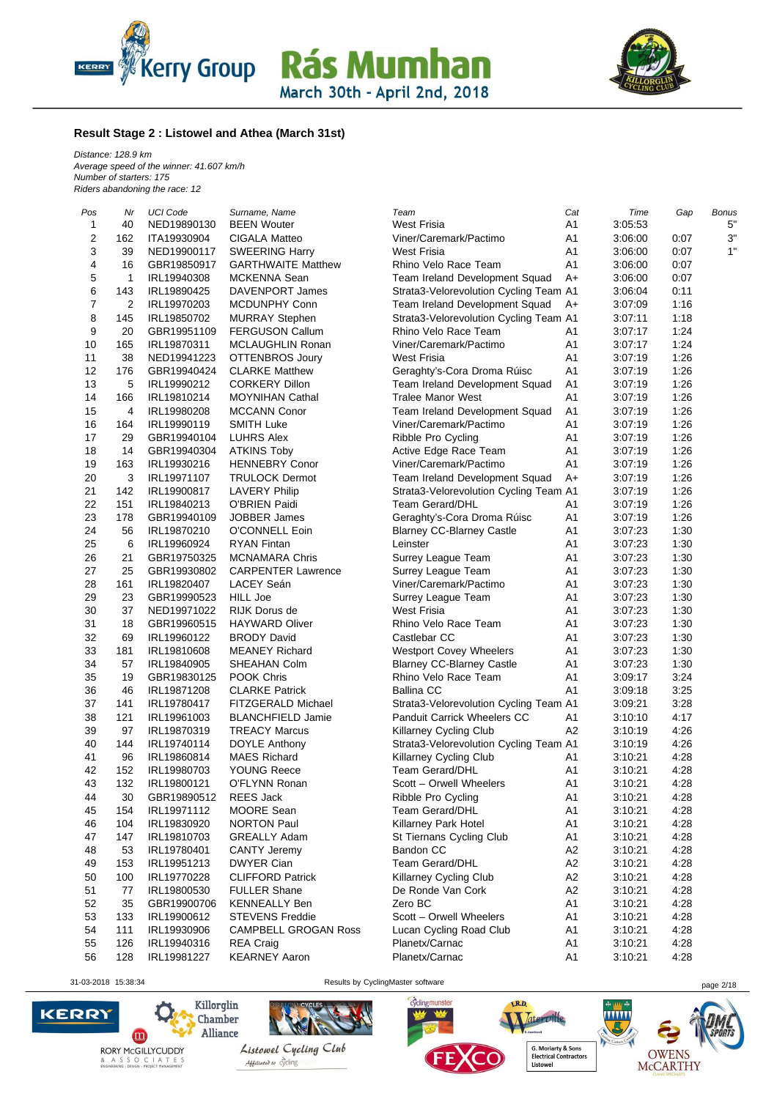



#### **Result Stage 2 : Listowel and Athea (March 31st)**

*Distance: 128.9 km Average speed of the winner: 41.607 km/h Number of starters: 175 Riders abandoning the race: 12*

| Pos            | Nr  | <b>UCI Code</b> | Surname, Name               | Team                                   | Cat            | Time    | Gap<br>Bonus |
|----------------|-----|-----------------|-----------------------------|----------------------------------------|----------------|---------|--------------|
| 1              | 40  | NED19890130     | <b>BEEN Wouter</b>          | <b>West Frisia</b>                     | A <sub>1</sub> | 3:05:53 | 5"           |
| 2              | 162 | ITA19930904     | CIGALA Matteo               | Viner/Caremark/Pactimo                 | A <sub>1</sub> | 3:06:00 | 3"<br>0:07   |
| 3              | 39  | NED19900117     | <b>SWEERING Harry</b>       | <b>West Frisia</b>                     | A <sub>1</sub> | 3:06:00 | 1"<br>0:07   |
| 4              | 16  | GBR19850917     | <b>GARTHWAITE Matthew</b>   | Rhino Velo Race Team                   | A <sub>1</sub> | 3:06:00 | 0:07         |
| 5              | 1   | IRL19940308     | <b>MCKENNA Sean</b>         | Team Ireland Development Squad         | $A+$           | 3:06:00 | 0:07         |
| 6              | 143 | IRL19890425     | DAVENPORT James             | Strata3-Velorevolution Cycling Team A1 |                | 3:06:04 | 0:11         |
| $\overline{7}$ | 2   | IRL19970203     | MCDUNPHY Conn               | Team Ireland Development Squad         | A+             | 3:07:09 | 1:16         |
| 8              | 145 | IRL19850702     | <b>MURRAY Stephen</b>       | Strata3-Velorevolution Cycling Team A1 |                | 3:07:11 | 1:18         |
| 9              | 20  | GBR19951109     | <b>FERGUSON Callum</b>      | Rhino Velo Race Team                   | A1             | 3:07:17 | 1:24         |
| 10             | 165 | IRL19870311     | <b>MCLAUGHLIN Ronan</b>     | Viner/Caremark/Pactimo                 | A1             | 3:07:17 | 1:24         |
| 11             | 38  | NED19941223     | OTTENBROS Joury             | <b>West Frisia</b>                     | A <sub>1</sub> | 3:07:19 | 1:26         |
| 12             | 176 | GBR19940424     | <b>CLARKE Matthew</b>       | Geraghty's-Cora Droma Rúisc            | A <sub>1</sub> | 3:07:19 | 1:26         |
| 13             | 5   | IRL19990212     | <b>CORKERY Dillon</b>       | Team Ireland Development Squad         | A <sub>1</sub> | 3:07:19 | 1:26         |
| 14             | 166 | IRL19810214     | <b>MOYNIHAN Cathal</b>      | <b>Tralee Manor West</b>               | A <sub>1</sub> | 3:07:19 | 1:26         |
| 15             | 4   | IRL19980208     | <b>MCCANN Conor</b>         |                                        | A <sub>1</sub> | 3:07:19 | 1:26         |
|                |     |                 |                             | Team Ireland Development Squad         |                |         | 1:26         |
| 16             | 164 | IRL19990119     | <b>SMITH Luke</b>           | Viner/Caremark/Pactimo                 | A <sub>1</sub> | 3:07:19 |              |
| 17             | 29  | GBR19940104     | <b>LUHRS Alex</b>           | Ribble Pro Cycling                     | A <sub>1</sub> | 3:07:19 | 1:26         |
| 18             | 14  | GBR19940304     | <b>ATKINS Toby</b>          | Active Edge Race Team                  | A <sub>1</sub> | 3:07:19 | 1:26         |
| 19             | 163 | IRL19930216     | <b>HENNEBRY Conor</b>       | Viner/Caremark/Pactimo                 | A <sub>1</sub> | 3:07:19 | 1:26         |
| 20             | 3   | IRL19971107     | <b>TRULOCK Dermot</b>       | Team Ireland Development Squad         | A+             | 3:07:19 | 1:26         |
| 21             | 142 | IRL19900817     | <b>LAVERY Philip</b>        | Strata3-Velorevolution Cycling Team A1 |                | 3:07:19 | 1:26         |
| 22             | 151 | IRL19840213     | O'BRIEN Paidi               | <b>Team Gerard/DHL</b>                 | A <sub>1</sub> | 3:07:19 | 1:26         |
| 23             | 178 | GBR19940109     | <b>JOBBER James</b>         | Geraghty's-Cora Droma Rúisc            | A <sub>1</sub> | 3:07:19 | 1:26         |
| 24             | 56  | IRL19870210     | O'CONNELL Eoin              | <b>Blarney CC-Blarney Castle</b>       | A <sub>1</sub> | 3:07:23 | 1:30         |
| 25             | 6   | IRL19960924     | <b>RYAN Fintan</b>          | Leinster                               | A <sub>1</sub> | 3:07:23 | 1:30         |
| 26             | 21  | GBR19750325     | <b>MCNAMARA Chris</b>       | Surrey League Team                     | A <sub>1</sub> | 3:07:23 | 1:30         |
| 27             | 25  | GBR19930802     | <b>CARPENTER Lawrence</b>   | Surrey League Team                     | A <sub>1</sub> | 3:07:23 | 1:30         |
| 28             | 161 | IRL19820407     | LACEY Seán                  | Viner/Caremark/Pactimo                 | A <sub>1</sub> | 3:07:23 | 1:30         |
| 29             | 23  | GBR19990523     | <b>HILL Joe</b>             | Surrey League Team                     | A <sub>1</sub> | 3:07:23 | 1:30         |
| 30             | 37  | NED19971022     | RIJK Dorus de               | <b>West Frisia</b>                     | A1             | 3:07:23 | 1:30         |
| 31             | 18  | GBR19960515     | <b>HAYWARD Oliver</b>       | Rhino Velo Race Team                   | A <sub>1</sub> | 3:07:23 | 1:30         |
| 32             | 69  | IRL19960122     | <b>BRODY David</b>          | Castlebar CC                           | A <sub>1</sub> | 3:07:23 | 1:30         |
| 33             | 181 | IRL19810608     | <b>MEANEY Richard</b>       | <b>Westport Covey Wheelers</b>         | A <sub>1</sub> | 3:07:23 | 1:30         |
| 34             |     |                 | SHEAHAN Colm                |                                        |                |         |              |
|                | 57  | IRL19840905     |                             | <b>Blarney CC-Blarney Castle</b>       | A <sub>1</sub> | 3:07:23 | 1:30         |
| 35             | 19  | GBR19830125     | POOK Chris                  | Rhino Velo Race Team                   | A1             | 3:09:17 | 3:24         |
| 36             | 46  | IRL19871208     | <b>CLARKE Patrick</b>       | <b>Ballina CC</b>                      | A1             | 3:09:18 | 3:25         |
| 37             | 141 | IRL19780417     | FITZGERALD Michael          | Strata3-Velorevolution Cycling Team A1 |                | 3:09:21 | 3:28         |
| 38             | 121 | IRL19961003     | <b>BLANCHFIELD Jamie</b>    | Panduit Carrick Wheelers CC            | A <sub>1</sub> | 3:10:10 | 4:17         |
| 39             | 97  | IRL19870319     | <b>TREACY Marcus</b>        | <b>Killarney Cycling Club</b>          | A2             | 3:10:19 | 4:26         |
| 40             | 144 | IRL19740114     | DOYLE Anthony               | Strata3-Velorevolution Cycling Team A1 |                | 3:10:19 | 4:26         |
| 41             | 96  | IRL19860814     | <b>MAES Richard</b>         | Killarney Cycling Club                 | A <sub>1</sub> | 3:10:21 | 4:28         |
| 42             | 152 | IRL19980703     | <b>YOUNG Reece</b>          | <b>Team Gerard/DHL</b>                 | A1             | 3:10:21 | 4:28         |
| 43             | 132 | IRL19800121     | O'FLYNN Ronan               | Scott - Orwell Wheelers                | A1             | 3:10:21 | 4:28         |
| 44             | 30  | GBR19890512     | REES Jack                   | Ribble Pro Cycling                     | A1             | 3:10:21 | 4:28         |
| 45             | 154 | IRL19971112     | MOORE Sean                  | Team Gerard/DHL                        | A <sub>1</sub> | 3:10:21 | 4:28         |
| 46             | 104 | IRL19830920     | <b>NORTON Paul</b>          | Killarney Park Hotel                   | A1             | 3:10:21 | 4:28         |
| 47             | 147 | IRL19810703     | <b>GREALLY Adam</b>         | St Tiernans Cycling Club               | A1             | 3:10:21 | 4:28         |
| 48             | 53  | IRL19780401     | CANTY Jeremy                | Bandon CC                              | A2             | 3:10:21 | 4:28         |
| 49             | 153 | IRL19951213     | <b>DWYER Cian</b>           | Team Gerard/DHL                        | A2             | 3:10:21 | 4:28         |
| 50             | 100 | IRL19770228     | <b>CLIFFORD Patrick</b>     | Killarney Cycling Club                 | A <sub>2</sub> | 3:10:21 | 4:28         |
|                | 77  | IRL19800530     | <b>FULLER Shane</b>         | De Ronde Van Cork                      | A <sub>2</sub> |         | 4:28         |
| 51             |     |                 |                             |                                        |                | 3:10:21 |              |
| 52             | 35  | GBR19900706     | <b>KENNEALLY Ben</b>        | Zero BC                                | A <sub>1</sub> | 3:10:21 | 4:28         |
| 53             | 133 | IRL19900612     | <b>STEVENS Freddie</b>      | Scott - Orwell Wheelers                | A1             | 3:10:21 | 4:28         |
| 54             | 111 | IRL19930906     | <b>CAMPBELL GROGAN Ross</b> | Lucan Cycling Road Club                | A1             | 3:10:21 | 4:28         |
| 55             | 126 | IRL19940316     | <b>REA Craig</b>            | Planetx/Carnac                         | A <sub>1</sub> | 3:10:21 | 4:28         |
| 56             | 128 | IRL19981227     | <b>KEARNEY Aaron</b>        | Planetx/Carnac                         | A <sub>1</sub> | 3:10:21 | 4:28         |
|                |     |                 |                             |                                        |                |         |              |

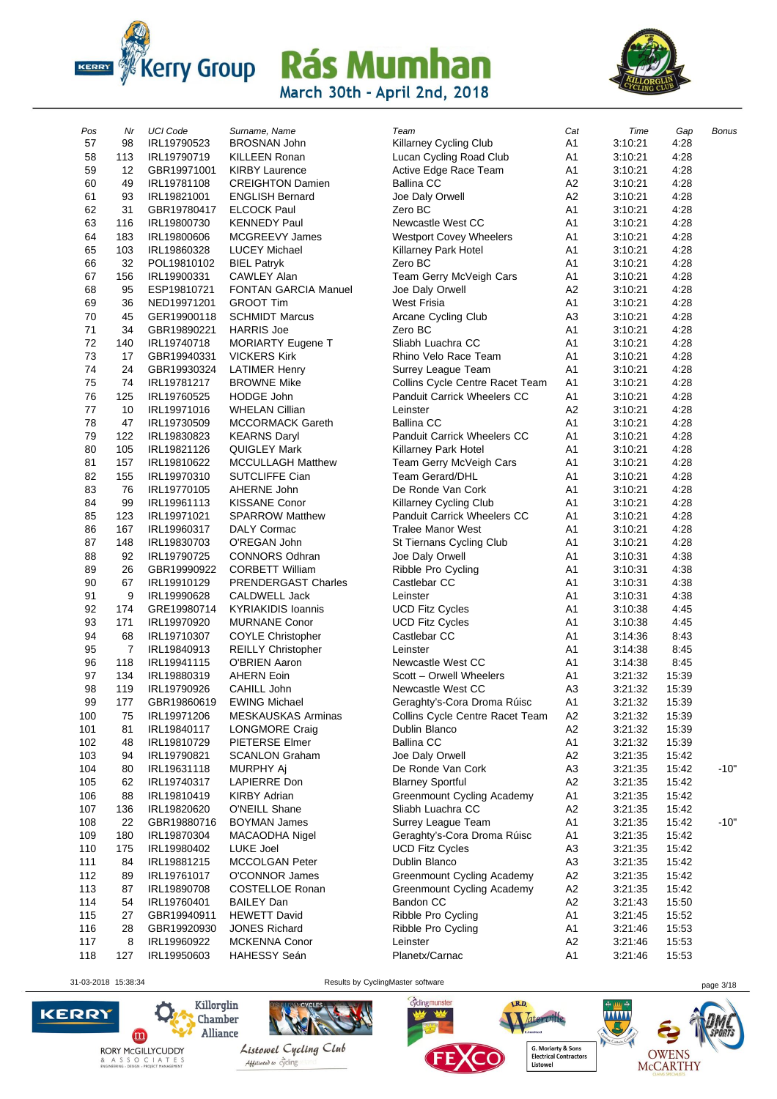



| Pos      | Nr       | <b>UCI Code</b>            | Surname, Name                              | Team                                             | Cat                              | Time               | Gap          | <b>Bonus</b> |
|----------|----------|----------------------------|--------------------------------------------|--------------------------------------------------|----------------------------------|--------------------|--------------|--------------|
| 57       | 98       | IRL19790523                | <b>BROSNAN John</b>                        | Killarney Cycling Club                           | A1                               | 3:10:21            | 4:28         |              |
| 58       | 113      | IRL19790719                | <b>KILLEEN Ronan</b>                       | Lucan Cycling Road Club                          | A <sub>1</sub>                   | 3:10:21            | 4:28         |              |
| 59       | 12       | GBR19971001                | <b>KIRBY Laurence</b>                      | Active Edge Race Team                            | A <sub>1</sub>                   | 3:10:21            | 4:28         |              |
| 60       | 49       | IRL19781108                | <b>CREIGHTON Damien</b>                    | <b>Ballina CC</b>                                | A <sub>2</sub>                   | 3:10:21            | 4:28         |              |
| 61       | 93       | IRL19821001                | <b>ENGLISH Bernard</b>                     | Joe Daly Orwell                                  | A <sub>2</sub>                   | 3:10:21            | 4:28         |              |
| 62       | 31       | GBR19780417                | <b>ELCOCK Paul</b>                         | Zero BC                                          | A1                               | 3:10:21            | 4:28         |              |
| 63       | 116      | IRL19800730                | <b>KENNEDY Paul</b>                        | Newcastle West CC                                | A <sub>1</sub>                   | 3:10:21            | 4:28         |              |
| 64       | 183      | IRL19800606                | MCGREEVY James                             | <b>Westport Covey Wheelers</b>                   | A <sub>1</sub>                   | 3:10:21            | 4:28         |              |
| 65       | 103      | IRL19860328                | <b>LUCEY Michael</b>                       | Killarney Park Hotel                             | A <sub>1</sub>                   | 3:10:21            | 4:28         |              |
| 66       | 32       | POL19810102                | <b>BIEL Patryk</b>                         | Zero BC                                          | A1                               | 3:10:21            | 4:28         |              |
| 67       | 156      | IRL19900331                | <b>CAWLEY Alan</b>                         | Team Gerry McVeigh Cars                          | A <sub>1</sub>                   | 3:10:21            | 4:28         |              |
| 68       | 95       | ESP19810721                | <b>FONTAN GARCIA Manuel</b>                | Joe Daly Orwell                                  | A <sub>2</sub>                   | 3:10:21            | 4:28         |              |
| 69       | 36       | NED19971201                | <b>GROOT Tim</b>                           | <b>West Frisia</b>                               | A <sub>1</sub>                   | 3:10:21            | 4:28         |              |
| 70       | 45       | GER19900118                | <b>SCHMIDT Marcus</b>                      | Arcane Cycling Club                              | A <sub>3</sub>                   | 3:10:21            | 4:28         |              |
| 71       | 34       | GBR19890221                | <b>HARRIS Joe</b>                          | Zero BC                                          | A <sub>1</sub>                   | 3:10:21            | 4:28         |              |
| 72       | 140      | IRL19740718                | <b>MORIARTY Eugene T</b>                   | Sliabh Luachra CC                                | A1                               | 3:10:21            | 4:28         |              |
| 73       | 17       | GBR19940331                | <b>VICKERS Kirk</b>                        | Rhino Velo Race Team                             | A <sub>1</sub>                   | 3:10:21            | 4:28         |              |
| 74       | 24       | GBR19930324                | <b>LATIMER Henry</b>                       | Surrey League Team                               | A <sub>1</sub>                   | 3:10:21            | 4:28         |              |
| 75       | 74       | IRL19781217                | <b>BROWNE Mike</b>                         | Collins Cycle Centre Racet Team                  | A <sub>1</sub>                   | 3:10:21            | 4:28         |              |
| 76       | 125      | IRL19760525                | <b>HODGE John</b>                          | <b>Panduit Carrick Wheelers CC</b>               | A <sub>1</sub>                   | 3:10:21            | 4:28         |              |
| 77       | 10       | IRL19971016                | <b>WHELAN Cillian</b>                      | Leinster                                         | A <sub>2</sub>                   | 3:10:21            | 4:28         |              |
| 78       | 47       | IRL19730509                | <b>MCCORMACK Gareth</b>                    | <b>Ballina CC</b>                                | A1                               | 3:10:21            | 4:28         |              |
| 79       | 122      | IRL19830823                | <b>KEARNS Daryl</b>                        | Panduit Carrick Wheelers CC                      | A <sub>1</sub>                   | 3:10:21            | 4:28         |              |
| 80       | 105      | IRL19821126                | QUIGLEY Mark                               | Killarney Park Hotel                             | A <sub>1</sub>                   | 3:10:21            | 4:28         |              |
| 81       | 157      | IRL19810622                | <b>MCCULLAGH Matthew</b>                   | Team Gerry McVeigh Cars                          | A <sub>1</sub>                   | 3:10:21            | 4:28         |              |
| 82       | 155      | IRL19970310                | <b>SUTCLIFFE Cian</b>                      | <b>Team Gerard/DHL</b>                           | A1                               | 3:10:21            | 4:28         |              |
| 83       | 76       | IRL19770105                | AHERNE John                                | De Ronde Van Cork                                | A <sub>1</sub>                   | 3:10:21            | 4:28         |              |
| 84       | 99       | IRL19961113                | <b>KISSANE Conor</b>                       | Killarney Cycling Club                           | A <sub>1</sub>                   | 3:10:21            | 4:28         |              |
| 85       | 123      | IRL19971021                | <b>SPARROW Matthew</b>                     | Panduit Carrick Wheelers CC                      | A <sub>1</sub>                   | 3:10:21            | 4:28         |              |
| 86       | 167      | IRL19960317                | DALY Cormac                                | <b>Tralee Manor West</b>                         | A <sub>1</sub>                   | 3:10:21            | 4:28         |              |
| 87       | 148      | IRL19830703                | O'REGAN John                               | St Tiernans Cycling Club                         | A <sub>1</sub>                   | 3:10:21            | 4:28         |              |
| 88       | 92       | IRL19790725                | <b>CONNORS Odhran</b>                      | Joe Daly Orwell                                  | A <sub>1</sub>                   | 3:10:31            | 4:38         |              |
| 89       | 26       | GBR19990922                | <b>CORBETT William</b>                     | Ribble Pro Cycling                               | A <sub>1</sub>                   | 3:10:31            | 4:38         |              |
| 90       | 67       | IRL19910129                | PRENDERGAST Charles                        | Castlebar CC                                     | A <sub>1</sub>                   | 3:10:31            | 4:38         |              |
| 91<br>92 | 9<br>174 | IRL19990628<br>GRE19980714 | CALDWELL Jack<br><b>KYRIAKIDIS Ioannis</b> | Leinster                                         | A <sub>1</sub><br>A <sub>1</sub> | 3:10:31            | 4:38         |              |
| 93       | 171      | IRL19970920                | <b>MURNANE Conor</b>                       | <b>UCD Fitz Cycles</b><br><b>UCD Fitz Cycles</b> | A <sub>1</sub>                   | 3:10:38<br>3:10:38 | 4:45<br>4:45 |              |
| 94       | 68       | IRL19710307                | <b>COYLE Christopher</b>                   | Castlebar CC                                     | A1                               | 3:14:36            | 8:43         |              |
| 95       | 7        | IRL19840913                | <b>REILLY Christopher</b>                  | Leinster                                         | A <sub>1</sub>                   | 3:14:38            | 8:45         |              |
| 96       | 118      | IRL19941115                | <b>O'BRIEN Aaron</b>                       | Newcastle West CC                                | A1                               | 3:14:38            | 8:45         |              |
| 97       | 134      | IRL19880319                | <b>AHERN Eoin</b>                          | Scott - Orwell Wheelers                          | A <sub>1</sub>                   | 3:21:32            | 15:39        |              |
| 98       | 119      | IRL19790926                | CAHILL John                                | Newcastle West CC                                | A <sub>3</sub>                   | 3:21:32            | 15:39        |              |
| 99       | 177      | GBR19860619                | <b>EWING Michael</b>                       | Geraghty's-Cora Droma Rúisc                      | A <sub>1</sub>                   | 3:21:32            | 15:39        |              |
| 100      | 75       | IRL19971206                | <b>MESKAUSKAS Arminas</b>                  | Collins Cycle Centre Racet Team                  | A <sub>2</sub>                   | 3:21:32            | 15:39        |              |
| 101      | 81       | IRL19840117                | LONGMORE Craig                             | Dublin Blanco                                    | A2                               | 3:21:32            | 15:39        |              |
| 102      | 48       | IRL19810729                | PIETERSE Elmer                             | <b>Ballina CC</b>                                | A1                               | 3:21:32            | 15:39        |              |
| 103      | 94       | IRL19790821                | <b>SCANLON Graham</b>                      | Joe Daly Orwell                                  | A <sub>2</sub>                   | 3:21:35            | 15:42        |              |
| 104      | 80       | IRL19631118                | MURPHY Aj                                  | De Ronde Van Cork                                | A <sub>3</sub>                   | 3:21:35            | 15:42        | $-10"$       |
| 105      | 62       | IRL19740317                | <b>LAPIERRE Don</b>                        | <b>Blarney Sportful</b>                          | A <sub>2</sub>                   | 3:21:35            | 15:42        |              |
| 106      | 88       | IRL19810419                | <b>KIRBY Adrian</b>                        | Greenmount Cycling Academy                       | A1                               | 3:21:35            | 15:42        |              |
| 107      | 136      | IRL19820620                | O'NEILL Shane                              | Sliabh Luachra CC                                | A <sub>2</sub>                   | 3:21:35            | 15:42        |              |
| 108      | 22       | GBR19880716                | <b>BOYMAN James</b>                        | Surrey League Team                               | A1                               | 3:21:35            | 15:42        | $-10"$       |
| 109      | 180      | IRL19870304                | MACAODHA Nigel                             | Geraghty's-Cora Droma Rúisc                      | A1                               | 3:21:35            | 15:42        |              |
| 110      | 175      | IRL19980402                | LUKE Joel                                  | <b>UCD Fitz Cycles</b>                           | A <sub>3</sub>                   | 3:21:35            | 15:42        |              |
| 111      | 84       | IRL19881215                | MCCOLGAN Peter                             | Dublin Blanco                                    | A <sub>3</sub>                   | 3:21:35            | 15:42        |              |
| 112      | 89       | IRL19761017                | <b>O'CONNOR James</b>                      | Greenmount Cycling Academy                       | A2                               | 3:21:35            | 15:42        |              |
| 113      | 87       | IRL19890708                | COSTELLOE Ronan                            | <b>Greenmount Cycling Academy</b>                | A <sub>2</sub>                   | 3:21:35            | 15:42        |              |
| 114      | 54       | IRL19760401                | <b>BAILEY Dan</b>                          | Bandon CC                                        | A2                               | 3:21:43            | 15:50        |              |
| 115      | 27       | GBR19940911                | <b>HEWETT David</b>                        | Ribble Pro Cycling                               | A1                               | 3:21:45            | 15:52        |              |
| 116      | 28       | GBR19920930                | <b>JONES Richard</b>                       | Ribble Pro Cycling                               | A <sub>1</sub>                   | 3:21:46            | 15:53        |              |
| 117      | 8        | IRL19960922                | <b>MCKENNA Conor</b>                       | Leinster                                         | A <sub>2</sub>                   | 3:21:46            | 15:53        |              |
| 118      | 127      | IRL19950603                | <b>HAHESSY Seán</b>                        | Planetx/Carnac                                   | A1                               | 3:21:46            | 15:53        |              |

31-03-2018 15:38:34 Results by CyclingMaster software page 3/18

cyclingmunster





**WWW** 

LR.D.

OWENS<br>McCARTHY

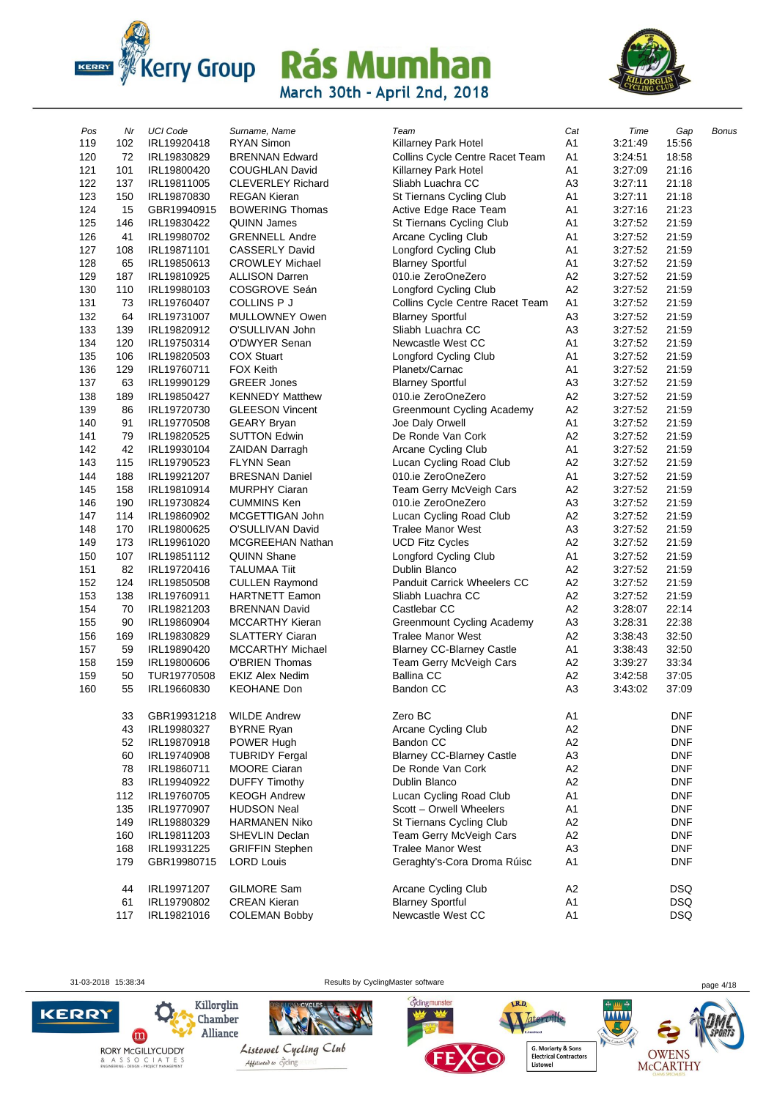



| Pos | Nr  | <b>UCI Code</b> | Surname, Name            | Team                               | Cat            | Time    | Gap        | Bonus |
|-----|-----|-----------------|--------------------------|------------------------------------|----------------|---------|------------|-------|
| 119 | 102 | IRL19920418     | <b>RYAN Simon</b>        | Killarney Park Hotel               | A1             | 3:21:49 | 15:56      |       |
| 120 | 72  | IRL19830829     | <b>BRENNAN Edward</b>    | Collins Cycle Centre Racet Team    | A <sub>1</sub> | 3:24:51 | 18:58      |       |
| 121 | 101 | IRL19800420     | <b>COUGHLAN David</b>    | Killarney Park Hotel               | A1             | 3:27:09 | 21:16      |       |
| 122 | 137 | IRL19811005     | <b>CLEVERLEY Richard</b> | Sliabh Luachra CC                  | A <sub>3</sub> | 3:27:11 | 21:18      |       |
| 123 | 150 | IRL19870830     | <b>REGAN Kieran</b>      | St Tiernans Cycling Club           | A <sub>1</sub> | 3:27:11 | 21:18      |       |
| 124 | 15  | GBR19940915     | <b>BOWERING Thomas</b>   | Active Edge Race Team              | A1             | 3:27:16 | 21:23      |       |
| 125 | 146 | IRL19830422     | <b>QUINN James</b>       | St Tiernans Cycling Club           | A1             | 3:27:52 | 21:59      |       |
| 126 | 41  | IRL19980702     | <b>GRENNELL Andre</b>    | Arcane Cycling Club                | A1             | 3:27:52 | 21:59      |       |
| 127 | 108 | IRL19871101     | <b>CASSERLY David</b>    | Longford Cycling Club              | A1             | 3:27:52 | 21:59      |       |
| 128 | 65  | IRL19850613     | <b>CROWLEY Michael</b>   | <b>Blarney Sportful</b>            | A1             | 3:27:52 | 21:59      |       |
| 129 | 187 | IRL19810925     | <b>ALLISON Darren</b>    | 010.ie ZeroOneZero                 | A2             | 3:27:52 | 21:59      |       |
| 130 | 110 | IRL19980103     | COSGROVE Seán            | Longford Cycling Club              | A <sub>2</sub> | 3:27:52 | 21:59      |       |
| 131 | 73  | IRL19760407     | <b>COLLINS P J</b>       | Collins Cycle Centre Racet Team    | A <sub>1</sub> | 3:27:52 | 21:59      |       |
| 132 | 64  | IRL19731007     | MULLOWNEY Owen           | <b>Blarney Sportful</b>            | A <sub>3</sub> | 3:27:52 | 21:59      |       |
| 133 | 139 | IRL19820912     | O'SULLIVAN John          | Sliabh Luachra CC                  | A <sub>3</sub> | 3:27:52 | 21:59      |       |
| 134 | 120 | IRL19750314     | O'DWYER Senan            | Newcastle West CC                  | A1             | 3:27:52 | 21:59      |       |
| 135 | 106 | IRL19820503     | <b>COX Stuart</b>        | Longford Cycling Club              | A <sub>1</sub> | 3:27:52 | 21:59      |       |
| 136 | 129 | IRL19760711     | <b>FOX Keith</b>         | Planetx/Carnac                     | A <sub>1</sub> | 3:27:52 | 21:59      |       |
| 137 | 63  | IRL19990129     | <b>GREER Jones</b>       | <b>Blarney Sportful</b>            | A <sub>3</sub> | 3:27:52 | 21:59      |       |
| 138 | 189 | IRL19850427     | <b>KENNEDY Matthew</b>   | 010.ie ZeroOneZero                 | A <sub>2</sub> | 3:27:52 | 21:59      |       |
| 139 | 86  | IRL19720730     | <b>GLEESON Vincent</b>   | <b>Greenmount Cycling Academy</b>  | A <sub>2</sub> | 3:27:52 | 21:59      |       |
| 140 | 91  | IRL19770508     | <b>GEARY Bryan</b>       | Joe Daly Orwell                    | A <sub>1</sub> | 3:27:52 | 21:59      |       |
| 141 | 79  | IRL19820525     | <b>SUTTON Edwin</b>      | De Ronde Van Cork                  | A2             | 3:27:52 | 21:59      |       |
| 142 | 42  | IRL19930104     | <b>ZAIDAN Darragh</b>    | Arcane Cycling Club                | A1             | 3:27:52 | 21:59      |       |
| 143 | 115 | IRL19790523     | <b>FLYNN Sean</b>        | Lucan Cycling Road Club            | A2             | 3:27:52 | 21:59      |       |
| 144 | 188 | IRL19921207     | <b>BRESNAN Daniel</b>    | 010.ie ZeroOneZero                 | A1             | 3:27:52 | 21:59      |       |
| 145 | 158 | IRL19810914     | <b>MURPHY Ciaran</b>     | Team Gerry McVeigh Cars            | A <sub>2</sub> | 3:27:52 | 21:59      |       |
| 146 | 190 | IRL19730824     | <b>CUMMINS Ken</b>       | 010.ie ZeroOneZero                 | A <sub>3</sub> | 3:27:52 | 21:59      |       |
| 147 | 114 | IRL19860902     | MCGETTIGAN John          | Lucan Cycling Road Club            | A <sub>2</sub> | 3:27:52 | 21:59      |       |
| 148 | 170 | IRL19800625     | O'SULLIVAN David         | <b>Tralee Manor West</b>           | A <sub>3</sub> | 3:27:52 | 21:59      |       |
| 149 | 173 | IRL19961020     | MCGREEHAN Nathan         | <b>UCD Fitz Cycles</b>             | A2             | 3:27:52 | 21:59      |       |
| 150 | 107 | IRL19851112     | <b>QUINN Shane</b>       | Longford Cycling Club              | A1             | 3:27:52 | 21:59      |       |
| 151 | 82  | IRL19720416     | <b>TALUMAA Tiit</b>      | Dublin Blanco                      | A2             | 3:27:52 | 21:59      |       |
| 152 | 124 | IRL19850508     | <b>CULLEN Raymond</b>    | <b>Panduit Carrick Wheelers CC</b> | A <sub>2</sub> | 3:27:52 | 21:59      |       |
| 153 | 138 | IRL19760911     | <b>HARTNETT Eamon</b>    | Sliabh Luachra CC                  | A2             | 3:27:52 | 21:59      |       |
| 154 | 70  | IRL19821203     | <b>BRENNAN David</b>     | Castlebar CC                       | A <sub>2</sub> | 3:28:07 | 22:14      |       |
| 155 | 90  | IRL19860904     | <b>MCCARTHY Kieran</b>   | Greenmount Cycling Academy         | A <sub>3</sub> | 3:28:31 | 22:38      |       |
| 156 | 169 | IRL19830829     | <b>SLATTERY Ciaran</b>   | <b>Tralee Manor West</b>           | A <sub>2</sub> | 3:38:43 | 32:50      |       |
| 157 | 59  | IRL19890420     | <b>MCCARTHY Michael</b>  | <b>Blarney CC-Blarney Castle</b>   | A <sub>1</sub> | 3:38:43 | 32:50      |       |
| 158 | 159 | IRL19800606     | <b>O'BRIEN Thomas</b>    | Team Gerry McVeigh Cars            | A <sub>2</sub> | 3:39:27 | 33:34      |       |
| 159 | 50  | TUR19770508     | <b>EKIZ Alex Nedim</b>   | <b>Ballina CC</b>                  | A <sub>2</sub> | 3:42:58 | 37:05      |       |
| 160 | 55  | IRL19660830     | <b>KEOHANE Don</b>       | <b>Bandon CC</b>                   | A <sub>3</sub> | 3:43:02 | 37:09      |       |
|     | 33  | GBR19931218     | <b>WILDE Andrew</b>      | Zero BC                            | A <sub>1</sub> |         | <b>DNF</b> |       |
|     | 43  | IRL19980327     | <b>BYRNE Ryan</b>        | Arcane Cycling Club                | A <sub>2</sub> |         | <b>DNF</b> |       |
|     | 52  | IRL19870918     | POWER Hugh               | <b>Bandon CC</b>                   | A <sub>2</sub> |         | <b>DNF</b> |       |
|     | 60  | IRL19740908     | <b>TUBRIDY Fergal</b>    | <b>Blarney CC-Blarney Castle</b>   | A <sub>3</sub> |         | <b>DNF</b> |       |
|     | 78  | IRL19860711     | <b>MOORE Ciaran</b>      | De Ronde Van Cork                  | A <sub>2</sub> |         | <b>DNF</b> |       |
|     | 83  | IRL19940922     | <b>DUFFY Timothy</b>     | Dublin Blanco                      | A <sub>2</sub> |         | <b>DNF</b> |       |
|     | 112 | IRL19760705     | <b>KEOGH Andrew</b>      | Lucan Cycling Road Club            | A <sub>1</sub> |         | <b>DNF</b> |       |
|     | 135 | IRL19770907     | <b>HUDSON Neal</b>       | Scott - Orwell Wheelers            | A <sub>1</sub> |         | DNF        |       |
|     | 149 | IRL19880329     | <b>HARMANEN Niko</b>     | St Tiernans Cycling Club           | A <sub>2</sub> |         | <b>DNF</b> |       |
|     | 160 | IRL19811203     | <b>SHEVLIN Declan</b>    | Team Gerry McVeigh Cars            | A <sub>2</sub> |         | <b>DNF</b> |       |
|     | 168 | IRL19931225     | <b>GRIFFIN Stephen</b>   | <b>Tralee Manor West</b>           | A <sub>3</sub> |         | <b>DNF</b> |       |
|     | 179 | GBR19980715     | <b>LORD Louis</b>        | Geraghty's-Cora Droma Rúisc        | A <sub>1</sub> |         | <b>DNF</b> |       |
|     |     |                 |                          |                                    |                |         |            |       |
|     | 44  | IRL19971207     | GILMORE Sam              | Arcane Cycling Club                | A <sub>2</sub> |         | <b>DSQ</b> |       |
|     | 61  | IRL19790802     | <b>CREAN Kieran</b>      | <b>Blarney Sportful</b>            | A <sub>1</sub> |         | <b>DSQ</b> |       |
|     | 117 | IRL19821016     | <b>COLEMAN Bobby</b>     | Newcastle West CC                  | A <sub>1</sub> |         | <b>DSQ</b> |       |

31-03-2018 15:38:34 Results by CyclingMaster software page 4/18





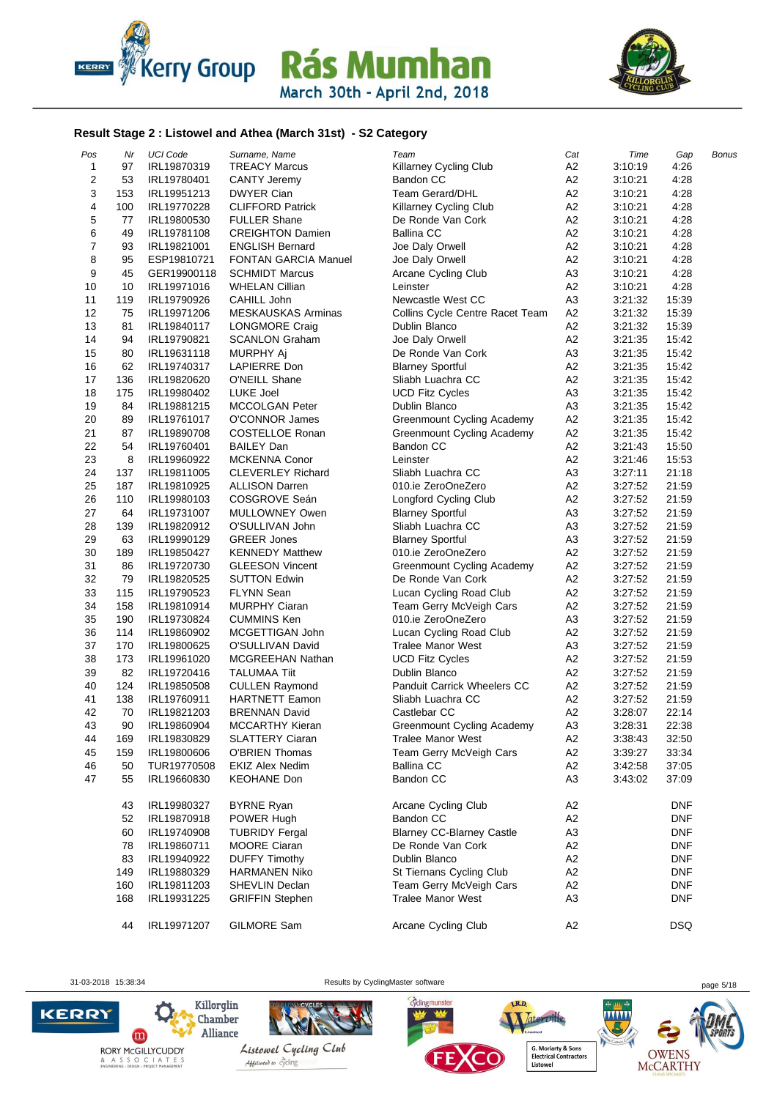



#### **Result Stage 2 : Listowel and Athea (March 31st) - S2 Category**

| Pos            | Nr        | <b>UCI Code</b>            | Surname, Name                          | Team                                                  | Cat                              | Time    | Gap                      | Bonus |
|----------------|-----------|----------------------------|----------------------------------------|-------------------------------------------------------|----------------------------------|---------|--------------------------|-------|
| $\mathbf{1}$   | 97        | IRL19870319                | <b>TREACY Marcus</b>                   | Killarney Cycling Club                                | A <sub>2</sub>                   | 3:10:19 | 4:26                     |       |
| 2              | 53        | IRL19780401                | <b>CANTY Jeremy</b>                    | <b>Bandon CC</b>                                      | A <sub>2</sub>                   | 3:10:21 | 4:28                     |       |
| 3              | 153       | IRL19951213                | <b>DWYER Cian</b>                      | <b>Team Gerard/DHL</b>                                | A <sub>2</sub>                   | 3:10:21 | 4:28                     |       |
| 4              | 100       | IRL19770228                | <b>CLIFFORD Patrick</b>                | Killarney Cycling Club                                | A <sub>2</sub>                   | 3:10:21 | 4:28                     |       |
| 5              | 77        | IRL19800530                | <b>FULLER Shane</b>                    | De Ronde Van Cork                                     | A <sub>2</sub>                   | 3:10:21 | 4:28                     |       |
| 6              | 49        | IRL19781108                | <b>CREIGHTON Damien</b>                | <b>Ballina CC</b>                                     | A2                               | 3:10:21 | 4:28                     |       |
| $\overline{7}$ | 93        | IRL19821001                | <b>ENGLISH Bernard</b>                 | Joe Daly Orwell                                       | A <sub>2</sub>                   | 3:10:21 | 4:28                     |       |
| 8              | 95        | ESP19810721                | <b>FONTAN GARCIA Manuel</b>            | Joe Daly Orwell                                       | A <sub>2</sub>                   | 3:10:21 | 4:28                     |       |
| 9              | 45        | GER19900118                | <b>SCHMIDT Marcus</b>                  | Arcane Cycling Club                                   | A <sub>3</sub>                   | 3:10:21 | 4:28                     |       |
| 10             | 10        | IRL19971016                | <b>WHELAN Cillian</b>                  | Leinster                                              | A <sub>2</sub>                   | 3:10:21 | 4:28                     |       |
| 11             | 119       | IRL19790926                | CAHILL John                            | Newcastle West CC                                     | A <sub>3</sub>                   | 3:21:32 | 15:39                    |       |
| 12             | 75        | IRL19971206                | <b>MESKAUSKAS Arminas</b>              | <b>Collins Cycle Centre Racet Team</b>                | A <sub>2</sub>                   | 3:21:32 | 15:39                    |       |
| 13             | 81        | IRL19840117                | LONGMORE Craig                         | Dublin Blanco                                         | A <sub>2</sub>                   | 3:21:32 | 15:39                    |       |
| 14             | 94        | IRL19790821                | <b>SCANLON Graham</b>                  | Joe Daly Orwell                                       | A <sub>2</sub>                   | 3:21:35 | 15:42                    |       |
| 15             | 80        | IRL19631118                | MURPHY Aj                              | De Ronde Van Cork                                     | A <sub>3</sub>                   | 3:21:35 | 15:42                    |       |
| 16             | 62        | IRL19740317                | LAPIERRE Don                           | <b>Blarney Sportful</b>                               | A <sub>2</sub>                   | 3:21:35 | 15:42                    |       |
| 17             | 136       | IRL19820620                | O'NEILL Shane                          | Sliabh Luachra CC                                     | A <sub>2</sub>                   | 3:21:35 | 15:42                    |       |
| 18             | 175       | IRL19980402                | LUKE Joel                              | <b>UCD Fitz Cycles</b>                                | A <sub>3</sub>                   | 3:21:35 | 15:42                    |       |
| 19             | 84        | IRL19881215                | <b>MCCOLGAN Peter</b>                  | Dublin Blanco                                         | A <sub>3</sub>                   | 3:21:35 | 15:42                    |       |
| 20             | 89        | IRL19761017                | O'CONNOR James                         | Greenmount Cycling Academy                            | A2                               | 3:21:35 | 15:42                    |       |
| 21             | 87        | IRL19890708                | COSTELLOE Ronan                        | Greenmount Cycling Academy                            | A <sub>2</sub>                   | 3:21:35 | 15:42                    |       |
| 22             | 54        | IRL19760401                | <b>BAILEY Dan</b>                      | Bandon CC                                             | A <sub>2</sub>                   | 3:21:43 | 15:50                    |       |
| 23             | 8         | IRL19960922                | <b>MCKENNA Conor</b>                   | Leinster                                              | A <sub>2</sub>                   | 3:21:46 | 15:53                    |       |
| 24             | 137       | IRL19811005                | <b>CLEVERLEY Richard</b>               | Sliabh Luachra CC                                     | A <sub>3</sub>                   | 3:27:11 | 21:18                    |       |
| 25             | 187       | IRL19810925                | <b>ALLISON Darren</b>                  | 010.ie ZeroOneZero                                    | A <sub>2</sub>                   | 3:27:52 | 21:59                    |       |
| 26             | 110       | IRL19980103                | COSGROVE Seán                          | Longford Cycling Club                                 | A <sub>2</sub>                   | 3:27:52 | 21:59                    |       |
| 27             | 64        | IRL19731007                | <b>MULLOWNEY Owen</b>                  | <b>Blarney Sportful</b>                               | A <sub>3</sub>                   | 3:27:52 | 21:59                    |       |
| 28             | 139       | IRL19820912                | O'SULLIVAN John                        | Sliabh Luachra CC                                     | A <sub>3</sub>                   | 3:27:52 | 21:59                    |       |
| 29             | 63        | IRL19990129                | <b>GREER Jones</b>                     | <b>Blarney Sportful</b>                               | A <sub>3</sub>                   | 3:27:52 | 21:59                    |       |
| 30             | 189       | IRL19850427                | <b>KENNEDY Matthew</b>                 | 010.ie ZeroOneZero                                    | A2                               | 3:27:52 | 21:59                    |       |
| 31             | 86        | IRL19720730                | <b>GLEESON Vincent</b>                 | Greenmount Cycling Academy                            | A2                               | 3:27:52 | 21:59                    |       |
| 32             | 79        | IRL19820525                | <b>SUTTON Edwin</b>                    | De Ronde Van Cork                                     | A <sub>2</sub>                   | 3:27:52 | 21:59                    |       |
| 33             | 115       | IRL19790523                | <b>FLYNN Sean</b>                      | Lucan Cycling Road Club                               | A <sub>2</sub>                   | 3:27:52 | 21:59                    |       |
| 34             | 158       | IRL19810914                | <b>MURPHY Ciaran</b>                   | Team Gerry McVeigh Cars                               | A <sub>2</sub>                   | 3:27:52 | 21:59                    |       |
| 35             | 190       | IRL19730824                | <b>CUMMINS Ken</b>                     | 010.ie ZeroOneZero                                    | A <sub>3</sub>                   | 3:27:52 | 21:59                    |       |
| 36             | 114       | IRL19860902                | MCGETTIGAN John                        | Lucan Cycling Road Club                               | A <sub>2</sub>                   | 3:27:52 | 21:59                    |       |
| 37             | 170       | IRL19800625                | O'SULLIVAN David                       | <b>Tralee Manor West</b>                              | A <sub>3</sub>                   | 3:27:52 | 21:59                    |       |
| 38             | 173       | IRL19961020                | MCGREEHAN Nathan                       | <b>UCD Fitz Cycles</b>                                | A <sub>2</sub>                   | 3:27:52 | 21:59                    |       |
| 39             | 82        | IRL19720416                | <b>TALUMAA Tiit</b>                    | Dublin Blanco                                         | A <sub>2</sub>                   | 3:27:52 | 21:59                    |       |
| 40             | 124       | IRL19850508                | <b>CULLEN Raymond</b>                  | <b>Panduit Carrick Wheelers CC</b>                    | A <sub>2</sub>                   | 3:27:52 | 21:59                    |       |
| 41             | 138       | IRL19760911                | <b>HARTNETT Eamon</b>                  | Sliabh Luachra CC                                     | A <sub>2</sub>                   | 3:27:52 | 21:59                    |       |
| 42             | 70        | IRL19821203                | <b>BRENNAN David</b>                   | Castlebar CC                                          | A <sub>2</sub>                   | 3:28:07 | 22:14                    |       |
| 43             | 90        | IRL19860904                | <b>MCCARTHY Kieran</b>                 | Greenmount Cycling Academy                            | A <sub>3</sub>                   | 3:28:31 | 22:38                    |       |
| 44             | 169       | IRL19830829                | <b>SLATTERY Ciaran</b>                 | <b>Tralee Manor West</b>                              | A <sub>2</sub>                   | 3:38:43 | 32:50                    |       |
| 45             | 159       | IRL19800606                | <b>O'BRIEN Thomas</b>                  | Team Gerry McVeigh Cars                               | A <sub>2</sub>                   | 3:39:27 | 33:34                    |       |
| 46             | 50        | TUR19770508                | <b>EKIZ Alex Nedim</b>                 | <b>Ballina CC</b>                                     | A2                               | 3:42:58 | 37:05                    |       |
| 47             | 55        | IRL19660830                | <b>KEOHANE Don</b>                     | Bandon CC                                             | A <sub>3</sub>                   | 3:43:02 | 37:09                    |       |
|                |           |                            |                                        |                                                       |                                  |         |                          |       |
|                | 43        | IRL19980327                | <b>BYRNE Ryan</b>                      | Arcane Cycling Club                                   | A <sub>2</sub>                   |         | <b>DNF</b>               |       |
|                | 52        | IRL19870918                | POWER Hugh                             | <b>Bandon CC</b>                                      | A <sub>2</sub>                   |         | <b>DNF</b>               |       |
|                | 60        | IRL19740908                | <b>TUBRIDY Fergal</b>                  | <b>Blarney CC-Blarney Castle</b><br>De Ronde Van Cork | A <sub>3</sub>                   |         | <b>DNF</b>               |       |
|                | 78        | IRL19860711                | MOORE Ciaran                           |                                                       | A <sub>2</sub>                   |         | <b>DNF</b>               |       |
|                | 83<br>149 | IRL19940922                | <b>DUFFY Timothy</b>                   | Dublin Blanco<br>St Tiernans Cycling Club             | A <sub>2</sub><br>A <sub>2</sub> |         | <b>DNF</b><br><b>DNF</b> |       |
|                | 160       | IRL19880329<br>IRL19811203 | <b>HARMANEN Niko</b><br>SHEVLIN Declan | Team Gerry McVeigh Cars                               | A <sub>2</sub>                   |         | <b>DNF</b>               |       |
|                | 168       | IRL19931225                | <b>GRIFFIN Stephen</b>                 | <b>Tralee Manor West</b>                              | A <sub>3</sub>                   |         | <b>DNF</b>               |       |
|                |           |                            |                                        |                                                       |                                  |         |                          |       |
|                | 44        | IRL19971207                | GILMORE Sam                            | Arcane Cycling Club                                   | A <sub>2</sub>                   |         | <b>DSQ</b>               |       |
|                |           |                            |                                        |                                                       |                                  |         |                          |       |

31-03-2018 15:38:34 Results by CyclingMaster software page 5/18



OWENS<br>McCARTHY

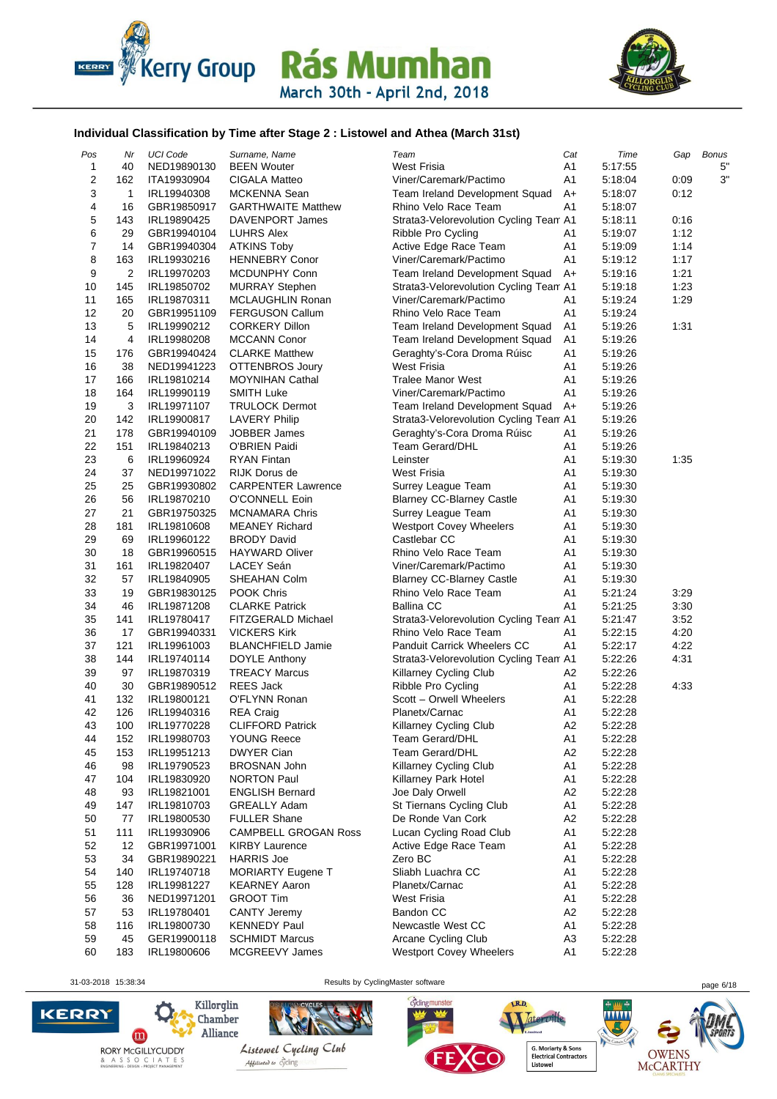



#### **Individual Classification by Time after Stage 2 : Listowel and Athea (March 31st)**

| Pos            | Nr  | <b>UCI Code</b>            | Surname, Name                        | Team                                   | Cat            | Time    | Gap  | <b>Bonus</b> |
|----------------|-----|----------------------------|--------------------------------------|----------------------------------------|----------------|---------|------|--------------|
| 1              | 40  | NED19890130                | <b>BEEN Wouter</b>                   | <b>West Frisia</b>                     | A1             | 5:17:55 |      | 5"           |
| $\mathbf 2$    | 162 | ITA19930904                | CIGALA Matteo                        | Viner/Caremark/Pactimo                 | A1             | 5:18:04 | 0:09 | 3"           |
| 3              | 1   | IRL19940308                | MCKENNA Sean                         | Team Ireland Development Squad         | $A+$           | 5:18:07 | 0:12 |              |
| 4              | 16  | GBR19850917                | <b>GARTHWAITE Matthew</b>            | Rhino Velo Race Team                   | A1             | 5:18:07 |      |              |
| 5              | 143 | IRL19890425                | DAVENPORT James                      | Strata3-Velorevolution Cycling Team A1 |                | 5:18:11 | 0:16 |              |
| 6              | 29  | GBR19940104                | <b>LUHRS Alex</b>                    | Ribble Pro Cycling                     | A1             | 5:19:07 | 1:12 |              |
| $\overline{7}$ | 14  | GBR19940304                | <b>ATKINS Toby</b>                   | Active Edge Race Team                  | A1             | 5:19:09 | 1:14 |              |
| 8              | 163 | IRL19930216                | <b>HENNEBRY Conor</b>                | Viner/Caremark/Pactimo                 | A1             | 5:19:12 | 1:17 |              |
| 9              | 2   | IRL19970203                | MCDUNPHY Conn                        | Team Ireland Development Squad         | $A+$           | 5:19:16 | 1:21 |              |
| 10             | 145 | IRL19850702                | <b>MURRAY Stephen</b>                | Strata3-Velorevolution Cycling Team A1 |                | 5:19:18 | 1:23 |              |
| 11             | 165 | IRL19870311                | MCLAUGHLIN Ronan                     | Viner/Caremark/Pactimo                 | A1             | 5:19:24 | 1:29 |              |
| 12             | 20  | GBR19951109                | <b>FERGUSON Callum</b>               | Rhino Velo Race Team                   | A1             | 5:19:24 |      |              |
| 13             | 5   | IRL19990212                | <b>CORKERY Dillon</b>                | Team Ireland Development Squad         | A <sub>1</sub> | 5:19:26 | 1:31 |              |
| 14             | 4   | IRL19980208                | <b>MCCANN Conor</b>                  | Team Ireland Development Squad         | A1             | 5:19:26 |      |              |
| 15             | 176 | GBR19940424                | <b>CLARKE Matthew</b>                | Geraghty's-Cora Droma Rúisc            | A1             | 5:19:26 |      |              |
| 16             | 38  | NED19941223                | <b>OTTENBROS Joury</b>               | <b>West Frisia</b>                     | A1             | 5:19:26 |      |              |
| 17             | 166 | IRL19810214                | <b>MOYNIHAN Cathal</b>               | <b>Tralee Manor West</b>               | A1             | 5:19:26 |      |              |
| 18             | 164 | IRL19990119                | <b>SMITH Luke</b>                    | Viner/Caremark/Pactimo                 | A1             | 5:19:26 |      |              |
| 19             | 3   | IRL19971107                | <b>TRULOCK Dermot</b>                | Team Ireland Development Squad         | $A+$           | 5:19:26 |      |              |
| 20             | 142 | IRL19900817                | <b>LAVERY Philip</b>                 | Strata3-Velorevolution Cycling Team A1 |                | 5:19:26 |      |              |
| 21             | 178 |                            |                                      |                                        |                |         |      |              |
| 22             |     | GBR19940109<br>IRL19840213 | <b>JOBBER James</b><br>O'BRIEN Paidi | Geraghty's-Cora Droma Rúisc            | A1             | 5:19:26 |      |              |
|                | 151 |                            |                                      | <b>Team Gerard/DHL</b>                 | A1             | 5:19:26 |      |              |
| 23             | 6   | IRL19960924                | <b>RYAN Fintan</b>                   | Leinster                               | A1             | 5:19:30 | 1:35 |              |
| 24             | 37  | NED19971022                | <b>RIJK Dorus de</b>                 | West Frisia                            | A1             | 5:19:30 |      |              |
| 25             | 25  | GBR19930802                | <b>CARPENTER Lawrence</b>            | Surrey League Team                     | A <sub>1</sub> | 5:19:30 |      |              |
| 26             | 56  | IRL19870210                | O'CONNELL Eoin                       | <b>Blarney CC-Blarney Castle</b>       | A <sub>1</sub> | 5:19:30 |      |              |
| 27             | 21  | GBR19750325                | <b>MCNAMARA Chris</b>                | Surrey League Team                     | A1             | 5:19:30 |      |              |
| 28             | 181 | IRL19810608                | <b>MEANEY Richard</b>                | <b>Westport Covey Wheelers</b>         | A1             | 5:19:30 |      |              |
| 29             | 69  | IRL19960122                | <b>BRODY David</b>                   | Castlebar CC                           | A <sub>1</sub> | 5:19:30 |      |              |
| 30             | 18  | GBR19960515                | <b>HAYWARD Oliver</b>                | Rhino Velo Race Team                   | A <sub>1</sub> | 5:19:30 |      |              |
| 31             | 161 | IRL19820407                | LACEY Seán                           | Viner/Caremark/Pactimo                 | A1             | 5:19:30 |      |              |
| 32             | 57  | IRL19840905                | SHEAHAN Colm                         | <b>Blarney CC-Blarney Castle</b>       | A <sub>1</sub> | 5:19:30 |      |              |
| 33             | 19  | GBR19830125                | POOK Chris                           | Rhino Velo Race Team                   | A1             | 5:21:24 | 3:29 |              |
| 34             | 46  | IRL19871208                | <b>CLARKE Patrick</b>                | <b>Ballina CC</b>                      | A1             | 5:21:25 | 3:30 |              |
| 35             | 141 | IRL19780417                | FITZGERALD Michael                   | Strata3-Velorevolution Cycling Team A1 |                | 5:21:47 | 3:52 |              |
| 36             | 17  | GBR19940331                | <b>VICKERS Kirk</b>                  | Rhino Velo Race Team                   | A <sub>1</sub> | 5:22:15 | 4:20 |              |
| 37             | 121 | IRL19961003                | <b>BLANCHFIELD Jamie</b>             | <b>Panduit Carrick Wheelers CC</b>     | A1             | 5:22:17 | 4:22 |              |
| 38             | 144 | IRL19740114                | DOYLE Anthony                        | Strata3-Velorevolution Cycling Team A1 |                | 5:22:26 | 4:31 |              |
| 39             | 97  | IRL19870319                | <b>TREACY Marcus</b>                 | <b>Killarney Cycling Club</b>          | A2             | 5:22:26 |      |              |
| 40             | 30  | GBR19890512                | <b>REES Jack</b>                     | Ribble Pro Cycling                     | A1             | 5:22:28 | 4:33 |              |
| 41             | 132 | IRL19800121                | O'FLYNN Ronan                        | Scott - Orwell Wheelers                | A <sub>1</sub> | 5:22:28 |      |              |
| 42             | 126 | IRL19940316                | <b>REA Craig</b>                     | Planetx/Carnac                         | A <sub>1</sub> | 5:22:28 |      |              |
| 43             | 100 | IRL19770228                | <b>CLIFFORD Patrick</b>              | Killarney Cycling Club                 | A2             | 5:22:28 |      |              |
| 44             | 152 | IRL19980703                | <b>YOUNG Reece</b>                   | Team Gerard/DHL                        | A1             | 5:22:28 |      |              |
| 45             | 153 | IRL19951213                | <b>DWYER Cian</b>                    | <b>Team Gerard/DHL</b>                 | A2             | 5:22:28 |      |              |
| 46             | 98  | IRL19790523                | <b>BROSNAN John</b>                  | Killarney Cycling Club                 | A1             | 5:22:28 |      |              |
| 47             | 104 | IRL19830920                | <b>NORTON Paul</b>                   | Killarney Park Hotel                   | A <sub>1</sub> | 5:22:28 |      |              |
| 48             | 93  | IRL19821001                | <b>ENGLISH Bernard</b>               | Joe Daly Orwell                        | A2             | 5:22:28 |      |              |
| 49             | 147 | IRL19810703                | <b>GREALLY Adam</b>                  | St Tiernans Cycling Club               | A1             | 5:22:28 |      |              |
| 50             | 77  | IRL19800530                | <b>FULLER Shane</b>                  | De Ronde Van Cork                      | A <sub>2</sub> | 5:22:28 |      |              |
| 51             | 111 | IRL19930906                | <b>CAMPBELL GROGAN Ross</b>          | Lucan Cycling Road Club                | A <sub>1</sub> | 5:22:28 |      |              |
| 52             | 12  | GBR19971001                | <b>KIRBY Laurence</b>                | Active Edge Race Team                  | A1             | 5:22:28 |      |              |
| 53             | 34  | GBR19890221                | <b>HARRIS Joe</b>                    | Zero BC                                | A <sub>1</sub> | 5:22:28 |      |              |
| 54             | 140 | IRL19740718                | <b>MORIARTY Eugene T</b>             | Sliabh Luachra CC                      | A1             | 5:22:28 |      |              |
| 55             | 128 | IRL19981227                | <b>KEARNEY Aaron</b>                 | Planetx/Carnac                         | A1             | 5:22:28 |      |              |
| 56             | 36  | NED19971201                | <b>GROOT Tim</b>                     | <b>West Frisia</b>                     | A <sub>1</sub> | 5:22:28 |      |              |
| 57             | 53  | IRL19780401                | <b>CANTY Jeremy</b>                  | Bandon CC                              | A <sub>2</sub> | 5:22:28 |      |              |
| 58             | 116 | IRL19800730                | <b>KENNEDY Paul</b>                  | Newcastle West CC                      | A <sub>1</sub> | 5:22:28 |      |              |
| 59             | 45  | GER19900118                | <b>SCHMIDT Marcus</b>                | Arcane Cycling Club                    | A3             | 5:22:28 |      |              |
| 60             |     |                            | MCGREEVY James                       |                                        | A1             |         |      |              |
|                | 183 | IRL19800606                |                                      | Westport Covey Wheelers                |                | 5:22:28 |      |              |

**KERRY** 

31-03-2018 15:38:34 Results by CyclingMaster software page 6/18







cyclingmunster

G. Moriarty & Sons<br>Electrical Contractors<br>Listowel

Tateroille,

....

LR.D.

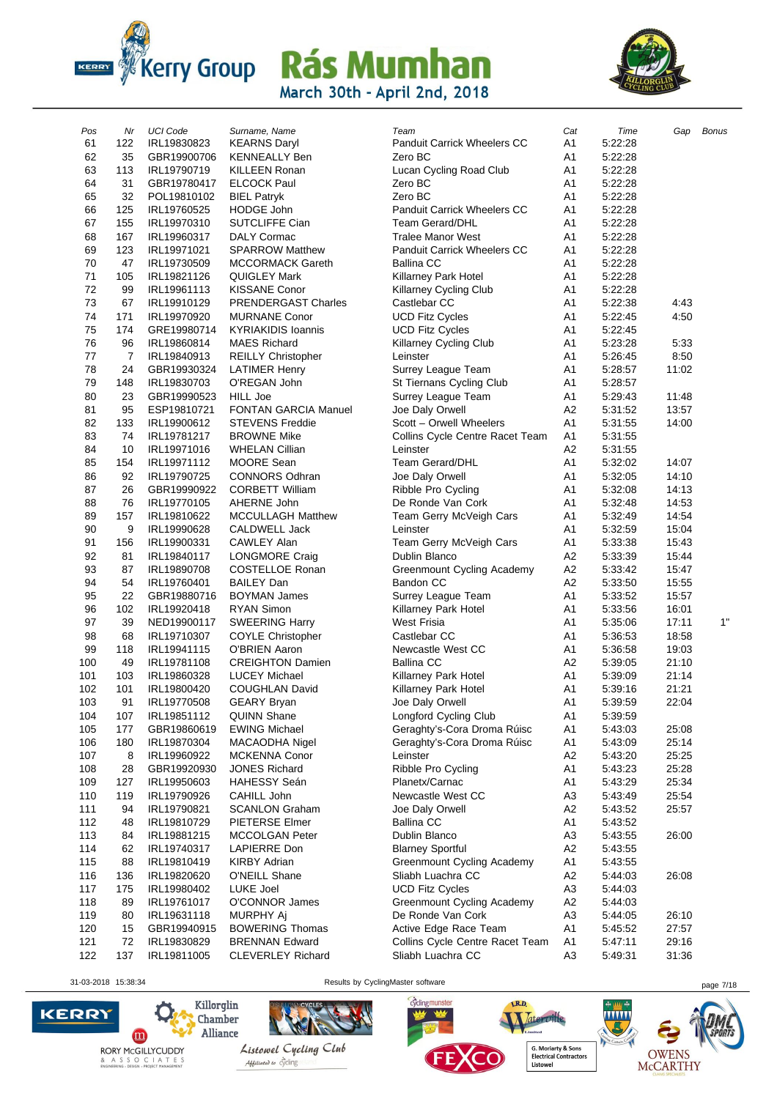



| Pos      | Nr       | <b>UCI Code</b>            | Surname, Name                        | Team                                       | Cat                  | Time               | Gap            | <b>Bonus</b> |
|----------|----------|----------------------------|--------------------------------------|--------------------------------------------|----------------------|--------------------|----------------|--------------|
| 61       | 122      | IRL19830823                | <b>KEARNS Daryl</b>                  | Panduit Carrick Wheelers CC                | A <sub>1</sub>       | 5:22:28            |                |              |
| 62       | 35       | GBR19900706                | <b>KENNEALLY Ben</b>                 | Zero BC                                    | A1                   | 5:22:28            |                |              |
| 63       | 113      | IRL19790719                | KILLEEN Ronan                        | Lucan Cycling Road Club                    | A <sub>1</sub>       | 5:22:28            |                |              |
| 64       | 31       | GBR19780417                | <b>ELCOCK Paul</b>                   | Zero BC                                    | A1                   | 5:22:28            |                |              |
| 65       | 32       | POL19810102                | <b>BIEL Patryk</b>                   | Zero BC                                    | A1                   | 5:22:28            |                |              |
| 66       | 125      | IRL19760525                | <b>HODGE John</b>                    | <b>Panduit Carrick Wheelers CC</b>         | A <sub>1</sub>       | 5:22:28            |                |              |
| 67       | 155      | IRL19970310                | SUTCLIFFE Cian                       | <b>Team Gerard/DHL</b>                     | A1                   | 5:22:28            |                |              |
| 68       | 167      | IRL19960317                | <b>DALY Cormac</b>                   | <b>Tralee Manor West</b>                   | A1                   | 5:22:28            |                |              |
| 69       | 123      | IRL19971021                | <b>SPARROW Matthew</b>               | <b>Panduit Carrick Wheelers CC</b>         | A <sub>1</sub>       | 5:22:28            |                |              |
| 70       | 47       | IRL19730509                | MCCORMACK Gareth                     | <b>Ballina CC</b>                          | A <sub>1</sub>       | 5:22:28            |                |              |
| 71       | 105      | IRL19821126                | <b>QUIGLEY Mark</b>                  | Killarney Park Hotel                       | A <sub>1</sub>       | 5:22:28            |                |              |
| 72       | 99       | IRL19961113                | <b>KISSANE Conor</b>                 | Killarney Cycling Club                     | A <sub>1</sub>       | 5:22:28            |                |              |
| 73       | 67       | IRL19910129                | <b>PRENDERGAST Charles</b>           | Castlebar CC                               | A1                   | 5:22:38            | 4:43           |              |
| 74       | 171      | IRL19970920                | <b>MURNANE Conor</b>                 | <b>UCD Fitz Cycles</b>                     | A1                   | 5:22:45            | 4:50           |              |
| 75       | 174      | GRE19980714                | <b>KYRIAKIDIS loannis</b>            | <b>UCD Fitz Cycles</b>                     | A <sub>1</sub>       | 5:22:45            |                |              |
| 76       | 96       | IRL19860814                | <b>MAES Richard</b>                  | Killarney Cycling Club                     | A <sub>1</sub>       | 5:23:28            | 5:33           |              |
| 77       | 7        | IRL19840913                | REILLY Christopher                   | Leinster                                   | A1                   | 5:26:45            | 8:50           |              |
| 78       | 24       | GBR19930324                | <b>LATIMER Henry</b>                 | Surrey League Team                         | A1                   | 5:28:57            | 11:02          |              |
| 79       | 148      | IRL19830703                | O'REGAN John                         | St Tiernans Cycling Club                   | A1                   | 5:28:57            |                |              |
| 80       | 23       | GBR19990523                | <b>HILL Joe</b>                      | Surrey League Team                         | A <sub>1</sub>       | 5:29:43            | 11:48          |              |
| 81       | 95       | ESP19810721                | <b>FONTAN GARCIA Manuel</b>          | Joe Daly Orwell                            | A2                   | 5:31:52            | 13:57          |              |
| 82       | 133      | IRL19900612                | <b>STEVENS Freddie</b>               | Scott - Orwell Wheelers                    | A <sub>1</sub>       | 5:31:55            | 14:00          |              |
| 83       | 74       | IRL19781217                | <b>BROWNE Mike</b>                   | Collins Cycle Centre Racet Team            | A <sub>1</sub>       | 5:31:55            |                |              |
| 84       | 10       | IRL19971016                | <b>WHELAN Cillian</b>                | Leinster                                   | A2                   | 5:31:55            |                |              |
| 85       | 154      | IRL19971112                | <b>MOORE Sean</b>                    | Team Gerard/DHL                            | A1                   | 5:32:02            | 14:07          |              |
| 86       | 92       | IRL19790725                | <b>CONNORS Odhran</b>                | Joe Daly Orwell                            | A <sub>1</sub>       | 5:32:05            | 14:10          |              |
| 87       | 26       | GBR19990922                | <b>CORBETT William</b>               | Ribble Pro Cycling                         | A <sub>1</sub>       | 5:32:08            | 14:13          |              |
| 88       | 76       | IRL19770105                | AHERNE John                          | De Ronde Van Cork                          | A1                   | 5:32:48            | 14:53          |              |
| 89       | 157      | IRL19810622                | <b>MCCULLAGH Matthew</b>             | Team Gerry McVeigh Cars                    | A <sub>1</sub>       | 5:32:49            | 14:54          |              |
| 90       | 9        | IRL19990628                | CALDWELL Jack                        | Leinster                                   | A <sub>1</sub>       | 5:32:59            | 15:04          |              |
| 91<br>92 | 156      | IRL19900331                | <b>CAWLEY Alan</b>                   | Team Gerry McVeigh Cars                    | A <sub>1</sub><br>A2 | 5:33:38            | 15:43          |              |
| 93       | 81       | IRL19840117                | <b>LONGMORE Craig</b>                | Dublin Blanco                              | A <sub>2</sub>       | 5:33:39            | 15:44          |              |
| 94       | 87<br>54 | IRL19890708<br>IRL19760401 | COSTELLOE Ronan<br><b>BAILEY Dan</b> | Greenmount Cycling Academy<br>Bandon CC    | A <sub>2</sub>       | 5:33:42<br>5:33:50 | 15:47<br>15:55 |              |
| 95       | 22       | GBR19880716                | <b>BOYMAN James</b>                  |                                            | A <sub>1</sub>       | 5:33:52            | 15:57          |              |
| 96       | 102      | IRL19920418                | <b>RYAN Simon</b>                    | Surrey League Team                         | A <sub>1</sub>       | 5:33:56            | 16:01          |              |
| 97       | 39       | NED19900117                | <b>SWEERING Harry</b>                | Killarney Park Hotel<br><b>West Frisia</b> | A <sub>1</sub>       | 5:35:06            | 17:11          | 1"           |
| 98       | 68       | IRL19710307                | <b>COYLE Christopher</b>             | Castlebar CC                               | A1                   | 5:36:53            | 18:58          |              |
| 99       | 118      | IRL19941115                | O'BRIEN Aaron                        | Newcastle West CC                          | A1                   | 5:36:58            | 19:03          |              |
| 100      | 49       | IRL19781108                | <b>CREIGHTON Damien</b>              | <b>Ballina CC</b>                          | A <sub>2</sub>       | 5:39:05            | 21:10          |              |
| 101      | 103      | IRL19860328                | <b>LUCEY Michael</b>                 | Killarney Park Hotel                       | A <sub>1</sub>       | 5:39:09            | 21:14          |              |
| 102      | 101      | IRL19800420                | <b>COUGHLAN David</b>                | Killarney Park Hotel                       | A1                   | 5:39:16            | 21:21          |              |
| 103      | 91       | IRL19770508                | <b>GEARY Bryan</b>                   | Joe Daly Orwell                            | A1                   | 5:39:59            | 22:04          |              |
| 104      | 107      | IRL19851112                | <b>QUINN Shane</b>                   | Longford Cycling Club                      | A1                   | 5:39:59            |                |              |
| 105      | 177      | GBR19860619                | <b>EWING Michael</b>                 | Geraghty's-Cora Droma Rúisc                | A <sub>1</sub>       | 5:43:03            | 25:08          |              |
| 106      | 180      | IRL19870304                | MACAODHA Nigel                       | Geraghty's-Cora Droma Rúisc                | A1                   | 5:43:09            | 25:14          |              |
| 107      | 8        | IRL19960922                | <b>MCKENNA Conor</b>                 | Leinster                                   | A <sub>2</sub>       | 5:43:20            | 25:25          |              |
| 108      | 28       | GBR19920930                | <b>JONES Richard</b>                 | Ribble Pro Cycling                         | A <sub>1</sub>       | 5:43:23            | 25:28          |              |
| 109      | 127      | IRL19950603                | <b>HAHESSY Seán</b>                  | Planetx/Carnac                             | A1                   | 5:43:29            | 25:34          |              |
| 110      | 119      | IRL19790926                | CAHILL John                          | Newcastle West CC                          | A <sub>3</sub>       | 5:43:49            | 25:54          |              |
| 111      | 94       | IRL19790821                | <b>SCANLON Graham</b>                | Joe Daly Orwell                            | A <sub>2</sub>       | 5:43:52            | 25:57          |              |
| 112      | 48       | IRL19810729                | PIETERSE Elmer                       | <b>Ballina CC</b>                          | A <sub>1</sub>       | 5:43:52            |                |              |
| 113      | 84       | IRL19881215                | MCCOLGAN Peter                       | Dublin Blanco                              | A <sub>3</sub>       | 5:43:55            | 26:00          |              |
| 114      | 62       | IRL19740317                | LAPIERRE Don                         | <b>Blarney Sportful</b>                    | A <sub>2</sub>       | 5:43:55            |                |              |
| 115      | 88       | IRL19810419                | <b>KIRBY Adrian</b>                  | Greenmount Cycling Academy                 | A1                   | 5:43:55            |                |              |
| 116      | 136      | IRL19820620                | O'NEILL Shane                        | Sliabh Luachra CC                          | A <sub>2</sub>       | 5:44:03            | 26:08          |              |
| 117      | 175      | IRL19980402                | LUKE Joel                            | <b>UCD Fitz Cycles</b>                     | A <sub>3</sub>       | 5:44:03            |                |              |
| 118      | 89       | IRL19761017                | O'CONNOR James                       | Greenmount Cycling Academy                 | A <sub>2</sub>       | 5:44:03            |                |              |
| 119      | 80       | IRL19631118                | MURPHY Aj                            | De Ronde Van Cork                          | A <sub>3</sub>       | 5:44:05            | 26:10          |              |
| 120      | 15       | GBR19940915                | <b>BOWERING Thomas</b>               | Active Edge Race Team                      | A <sub>1</sub>       | 5:45:52            | 27:57          |              |
| 121      | 72       | IRL19830829                | <b>BRENNAN Edward</b>                | Collins Cycle Centre Racet Team            | A <sub>1</sub>       | 5:47:11            | 29:16          |              |
| 122      | 137      | IRL19811005                | <b>CLEVERLEY Richard</b>             | Sliabh Luachra CC                          | A <sub>3</sub>       | 5.49.31            | 31:36          |              |

31-03-2018 15:38:34 Results by CyclingMaster software page 7/18

cyclingmunster





 $\mathbf{O}$ 

 $\hbox{\bf Kilorglin}$ 

Chamber<br>Alliance



Listowel Cycling Club Abbiliated to cycling



G. Moriarty & Sons<br>Electrical Contractors<br>Listowel

Tateroille,

.<br>Hered

LR.D.



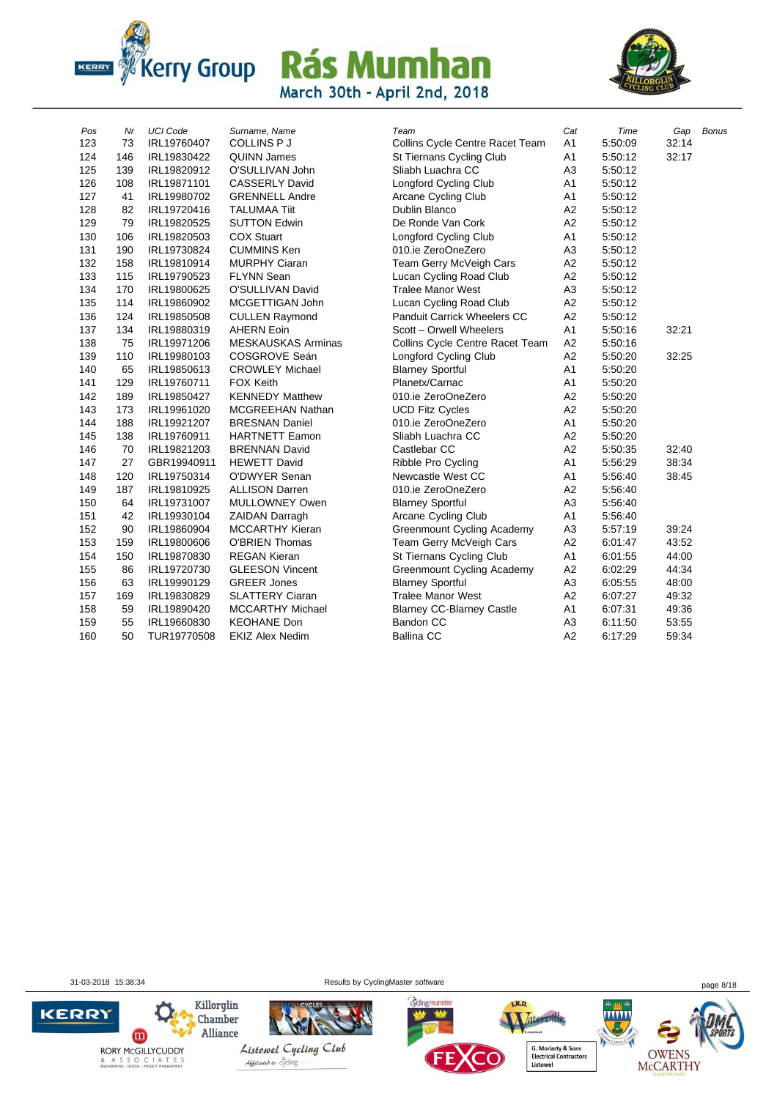



| Pos | Nr  | <b>UCI Code</b> | Surname, Name             | Team                              | Cat            | Time    | Gap   | <b>Bonus</b> |
|-----|-----|-----------------|---------------------------|-----------------------------------|----------------|---------|-------|--------------|
| 123 | 73  | IRL19760407     | COLLINS P J               | Collins Cycle Centre Racet Team   | A1             | 5:50:09 | 32:14 |              |
| 124 | 146 | IRL19830422     | <b>QUINN James</b>        | St Tiernans Cycling Club          | A <sub>1</sub> | 5:50:12 | 32:17 |              |
| 125 | 139 | IRL19820912     | O'SULLIVAN John           | Sliabh Luachra CC                 | A <sub>3</sub> | 5:50:12 |       |              |
| 126 | 108 | IRL19871101     | <b>CASSERLY David</b>     | Longford Cycling Club             | A <sub>1</sub> | 5:50:12 |       |              |
| 127 | 41  | IRL19980702     | <b>GRENNELL Andre</b>     | Arcane Cycling Club               | A <sub>1</sub> | 5:50:12 |       |              |
| 128 | 82  | IRL19720416     | <b>TALUMAA Tiit</b>       | <b>Dublin Blanco</b>              | A2             | 5:50:12 |       |              |
| 129 | 79  | IRL19820525     | <b>SUTTON Edwin</b>       | De Ronde Van Cork                 | A2             | 5:50:12 |       |              |
| 130 | 106 | IRL19820503     | <b>COX Stuart</b>         | Longford Cycling Club             | A1             | 5:50:12 |       |              |
| 131 | 190 | IRL19730824     | <b>CUMMINS Ken</b>        | 010.ie ZeroOneZero                | A <sub>3</sub> | 5:50:12 |       |              |
| 132 | 158 | IRL19810914     | <b>MURPHY Ciaran</b>      | Team Gerry McVeigh Cars           | A2             | 5:50:12 |       |              |
| 133 | 115 | IRL19790523     | <b>FLYNN Sean</b>         | Lucan Cycling Road Club           | A2             | 5:50:12 |       |              |
| 134 | 170 | IRL19800625     | O'SULLIVAN David          | <b>Tralee Manor West</b>          | A <sub>3</sub> | 5:50:12 |       |              |
| 135 | 114 | IRL19860902     | MCGETTIGAN John           | Lucan Cycling Road Club           | A2             | 5:50:12 |       |              |
| 136 | 124 | IRL19850508     | <b>CULLEN Raymond</b>     | Panduit Carrick Wheelers CC       | A2             | 5:50:12 |       |              |
| 137 | 134 | IRL19880319     | <b>AHERN Eoin</b>         | Scott - Orwell Wheelers           | A <sub>1</sub> | 5:50:16 | 32:21 |              |
| 138 | 75  | IRL19971206     | <b>MESKAUSKAS Arminas</b> | Collins Cycle Centre Racet Team   | A2             | 5:50:16 |       |              |
| 139 | 110 | IRL19980103     | COSGROVE Seán             | Longford Cycling Club             | A2             | 5:50:20 | 32:25 |              |
| 140 | 65  | IRL19850613     | <b>CROWLEY Michael</b>    | <b>Blarney Sportful</b>           | A1             | 5:50:20 |       |              |
| 141 | 129 | IRL19760711     | <b>FOX Keith</b>          | Planetx/Carnac                    | A1             | 5:50:20 |       |              |
| 142 | 189 | IRL19850427     | <b>KENNEDY Matthew</b>    | 010.ie ZeroOneZero                | A <sub>2</sub> | 5:50:20 |       |              |
| 143 | 173 | IRL19961020     | <b>MCGREEHAN Nathan</b>   | <b>UCD Fitz Cycles</b>            | A2             | 5:50:20 |       |              |
| 144 | 188 | IRL19921207     | <b>BRESNAN Daniel</b>     | 010.ie ZeroOneZero                | A1             | 5:50:20 |       |              |
| 145 | 138 | IRL19760911     | <b>HARTNETT Eamon</b>     | Sliabh Luachra CC                 | A2             | 5:50:20 |       |              |
| 146 | 70  | IRL19821203     | <b>BRENNAN David</b>      | Castlebar CC                      | A2             | 5:50:35 | 32:40 |              |
| 147 | 27  | GBR19940911     | <b>HEWETT David</b>       | Ribble Pro Cycling                | A <sub>1</sub> | 5:56:29 | 38:34 |              |
| 148 | 120 | IRL19750314     | O'DWYER Senan             | Newcastle West CC                 | A1             | 5:56:40 | 38:45 |              |
| 149 | 187 | IRL19810925     | <b>ALLISON Darren</b>     | 010.ie ZeroOneZero                | A2             | 5:56:40 |       |              |
| 150 | 64  | IRL19731007     | MULLOWNEY Owen            | <b>Blarney Sportful</b>           | A <sub>3</sub> | 5:56:40 |       |              |
| 151 | 42  | IRL19930104     | <b>ZAIDAN Darragh</b>     | <b>Arcane Cycling Club</b>        | A1             | 5:56:40 |       |              |
| 152 | 90  | IRL19860904     | <b>MCCARTHY Kieran</b>    | Greenmount Cycling Academy        | A <sub>3</sub> | 5:57:19 | 39:24 |              |
| 153 | 159 | IRL19800606     | <b>O'BRIEN Thomas</b>     | Team Gerry McVeigh Cars           | A2             | 6:01:47 | 43:52 |              |
| 154 | 150 | IRL19870830     | <b>REGAN Kieran</b>       | St Tiernans Cycling Club          | A1             | 6:01:55 | 44:00 |              |
| 155 | 86  | IRL19720730     | <b>GLEESON Vincent</b>    | <b>Greenmount Cycling Academy</b> | A2             | 6:02:29 | 44:34 |              |
| 156 | 63  | IRL19990129     | <b>GREER Jones</b>        | <b>Blarney Sportful</b>           | A3             | 6:05:55 | 48:00 |              |
| 157 | 169 | IRL19830829     | <b>SLATTERY Ciaran</b>    | <b>Tralee Manor West</b>          | A2             | 6:07:27 | 49:32 |              |
| 158 | 59  | IRL19890420     | <b>MCCARTHY Michael</b>   | <b>Blarney CC-Blarney Castle</b>  | A <sub>1</sub> | 6:07:31 | 49:36 |              |
| 159 | 55  | IRL19660830     | <b>KEOHANE Don</b>        | Bandon CC                         | A <sub>3</sub> | 6:11:50 | 53:55 |              |
| 160 | 50  | TUR19770508     | <b>EKIZ Alex Nedim</b>    | <b>Ballina CC</b>                 | A2             | 6:17:29 | 59:34 |              |

31-03-2018 15:38:34 Results by CyclingMaster software page 8/18

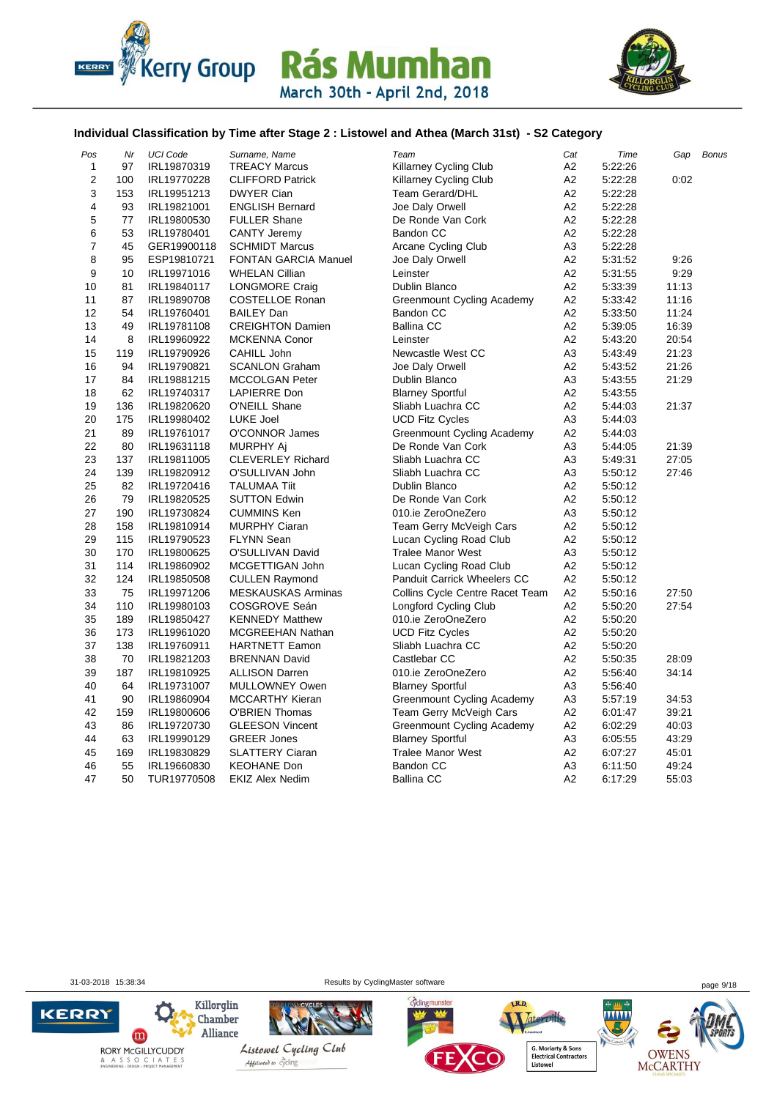



#### **Individual Classification by Time after Stage 2 : Listowel and Athea (March 31st) - S2 Category**

| Nr  | <b>UCI Code</b> | Surname, Name               | Team                               | Cat                                                   | Time    | Gap   | <b>Bonus</b> |
|-----|-----------------|-----------------------------|------------------------------------|-------------------------------------------------------|---------|-------|--------------|
| 97  | IRL19870319     | <b>TREACY Marcus</b>        | Killarney Cycling Club             | A <sub>2</sub>                                        | 5.22:26 |       |              |
| 100 | IRL19770228     | <b>CLIFFORD Patrick</b>     | <b>Killarney Cycling Club</b>      | A <sub>2</sub>                                        | 5:22:28 | 0:02  |              |
| 153 | IRL19951213     | <b>DWYER Cian</b>           | <b>Team Gerard/DHL</b>             | A <sub>2</sub>                                        | 5:22:28 |       |              |
| 93  | IRL19821001     | <b>ENGLISH Bernard</b>      | Joe Daly Orwell                    | A <sub>2</sub>                                        | 5.22:28 |       |              |
| 77  | IRL19800530     | <b>FULLER Shane</b>         | De Ronde Van Cork                  | A <sub>2</sub>                                        | 5:22:28 |       |              |
| 53  | IRL19780401     | <b>CANTY Jeremy</b>         | Bandon CC                          | A2                                                    | 5.22:28 |       |              |
| 45  | GER19900118     | <b>SCHMIDT Marcus</b>       | Arcane Cycling Club                | A <sub>3</sub>                                        | 5:22:28 |       |              |
| 95  | ESP19810721     | <b>FONTAN GARCIA Manuel</b> | Joe Daly Orwell                    | A <sub>2</sub>                                        | 5:31:52 | 9:26  |              |
| 10  | IRL19971016     | <b>WHELAN Cillian</b>       | Leinster                           | A2                                                    | 5:31:55 | 9:29  |              |
| 81  | IRL19840117     | LONGMORE Craig              | Dublin Blanco                      | A <sub>2</sub>                                        | 5:33:39 | 11:13 |              |
| 87  | IRL19890708     | COSTELLOE Ronan             | Greenmount Cycling Academy         | A2                                                    | 5:33:42 | 11:16 |              |
| 54  | IRL19760401     | <b>BAILEY Dan</b>           | <b>Bandon CC</b>                   | A <sub>2</sub>                                        | 5:33:50 | 11:24 |              |
| 49  | IRL19781108     | <b>CREIGHTON Damien</b>     | <b>Ballina CC</b>                  | A <sub>2</sub>                                        | 5:39:05 | 16:39 |              |
| 8   | IRL19960922     | <b>MCKENNA Conor</b>        | Leinster                           | A2                                                    | 5.43.20 | 20:54 |              |
| 119 | IRL19790926     | CAHILL John                 | Newcastle West CC                  | A <sub>3</sub>                                        | 5:43:49 | 21:23 |              |
| 94  | IRL19790821     | <b>SCANLON Graham</b>       | Joe Daly Orwell                    | A <sub>2</sub>                                        | 5:43:52 | 21:26 |              |
| 84  | IRL19881215     | MCCOLGAN Peter              | Dublin Blanco                      | A <sub>3</sub>                                        | 5:43:55 | 21:29 |              |
| 62  | IRL19740317     | <b>LAPIERRE Don</b>         | <b>Blarney Sportful</b>            | A2                                                    | 5.43.55 |       |              |
| 136 | IRL19820620     | O'NEILL Shane               | Sliabh Luachra CC                  | A <sub>2</sub>                                        | 5:44:03 | 21:37 |              |
| 175 | IRL19980402     | <b>LUKE Joel</b>            | <b>UCD Fitz Cycles</b>             | A3                                                    | 5:44:03 |       |              |
| 89  | IRL19761017     | O'CONNOR James              | <b>Greenmount Cycling Academy</b>  | A2                                                    | 5.44.03 |       |              |
| 80  | IRL19631118     |                             | De Ronde Van Cork                  | A <sub>3</sub>                                        | 5.44.05 | 21:39 |              |
| 137 | IRL19811005     | <b>CLEVERLEY Richard</b>    | Sliabh Luachra CC                  | A <sub>3</sub>                                        | 5.49.31 | 27:05 |              |
| 139 | IRL19820912     | O'SULLIVAN John             | Sliabh Luachra CC                  | A <sub>3</sub>                                        | 5:50:12 | 27:46 |              |
| 82  | IRL19720416     | <b>TALUMAA Tiit</b>         | Dublin Blanco                      | A <sub>2</sub>                                        | 5.50.12 |       |              |
| 79  | IRL19820525     | <b>SUTTON Edwin</b>         | De Ronde Van Cork                  | A <sub>2</sub>                                        | 5:50:12 |       |              |
| 190 | IRL19730824     | <b>CUMMINS Ken</b>          | 010.ie ZeroOneZero                 | A <sub>3</sub>                                        | 5:50:12 |       |              |
| 158 | IRL19810914     | <b>MURPHY Ciaran</b>        | Team Gerry McVeigh Cars            | A <sub>2</sub>                                        | 5:50:12 |       |              |
| 115 | IRL19790523     | <b>FLYNN Sean</b>           |                                    | A <sub>2</sub>                                        | 5.50.12 |       |              |
| 170 | IRL19800625     | O'SULLIVAN David            | <b>Tralee Manor West</b>           | A <sub>3</sub>                                        | 5:50:12 |       |              |
| 114 | IRL19860902     | MCGETTIGAN John             | Lucan Cycling Road Club            | A <sub>2</sub>                                        | 5:50:12 |       |              |
| 124 | IRL19850508     | <b>CULLEN Raymond</b>       | <b>Panduit Carrick Wheelers CC</b> | A2                                                    | 5:50:12 |       |              |
| 75  | IRL19971206     | <b>MESKAUSKAS Arminas</b>   | Collins Cycle Centre Racet Team    | A <sub>2</sub>                                        | 5.50.16 | 27:50 |              |
| 110 | IRL19980103     | COSGROVE Seán               | <b>Longford Cycling Club</b>       | A2                                                    | 5:50:20 | 27:54 |              |
| 189 | IRL19850427     | <b>KENNEDY Matthew</b>      | 010.ie ZeroOneZero                 | A2                                                    | 5:50:20 |       |              |
| 173 | IRL19961020     | <b>MCGREEHAN Nathan</b>     | <b>UCD Fitz Cycles</b>             | A <sub>2</sub>                                        | 5:50:20 |       |              |
| 138 | IRL19760911     | <b>HARTNETT Eamon</b>       | Sliabh Luachra CC                  | A <sub>2</sub>                                        | 5:50:20 |       |              |
| 70  | IRL19821203     | <b>BRENNAN David</b>        | Castlebar CC                       | A <sub>2</sub>                                        | 5:50:35 | 28:09 |              |
| 187 | IRL19810925     | <b>ALLISON Darren</b>       | 010.ie ZeroOneZero                 | A2                                                    | 5:56:40 | 34:14 |              |
| 64  | IRL19731007     | MULLOWNEY Owen              | <b>Blarney Sportful</b>            | A <sub>3</sub>                                        | 5:56:40 |       |              |
| 90  | IRL19860904     | <b>MCCARTHY Kieran</b>      |                                    | A <sub>3</sub>                                        | 5:57:19 | 34:53 |              |
| 159 | IRL19800606     | <b>O'BRIEN Thomas</b>       | Team Gerry McVeigh Cars            | A <sub>2</sub>                                        | 6:01:47 | 39:21 |              |
| 86  | IRL19720730     | <b>GLEESON Vincent</b>      | Greenmount Cycling Academy         | А2                                                    | 6:02:29 | 40:03 |              |
| 63  | IRL19990129     | <b>GREER Jones</b>          | <b>Blarney Sportful</b>            | A3                                                    | 6:05:55 | 43:29 |              |
| 169 | IRL19830829     | <b>SLATTERY Ciaran</b>      | <b>Tralee Manor West</b>           | A <sub>2</sub>                                        | 6:07:27 | 45:01 |              |
| 55  | IRL19660830     | <b>KEOHANE Don</b>          | Bandon CC                          | A <sub>3</sub>                                        | 6:11:50 | 49:24 |              |
| 50  | TUR19770508     | <b>EKIZ Alex Nedim</b>      | <b>Ballina CC</b>                  | A2                                                    | 6:17:29 | 55:03 |              |
|     |                 |                             | MURPHY Aj                          | Lucan Cycling Road Club<br>Greenmount Cycling Academy |         |       |              |

31-03-2018 15:38:34 Results by CyclingMaster software page 9/18





LR.D.

OWENS<br>McCARTHY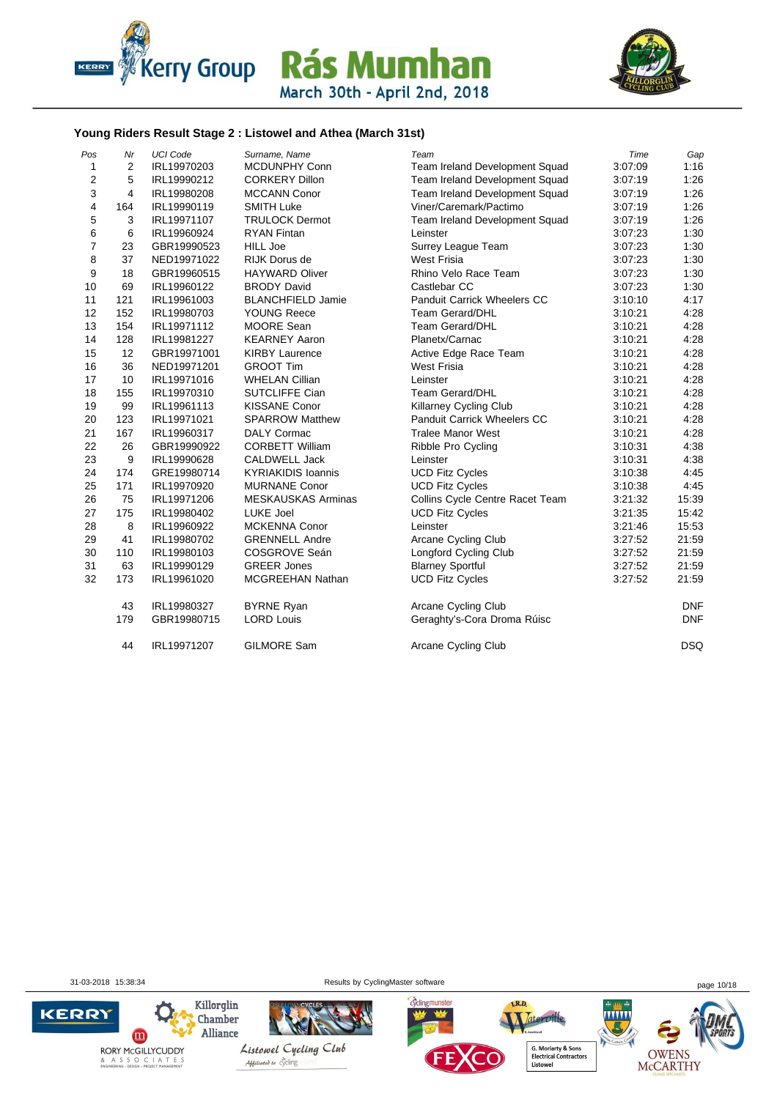



#### **Young Riders Result Stage 2 : Listowel and Athea (March 31st)**

| Pos            | Nr             | <b>UCI Code</b> | Surname, Name             | Team                               | Time    | Gap        |
|----------------|----------------|-----------------|---------------------------|------------------------------------|---------|------------|
| 1              | 2              | IRL19970203     | <b>MCDUNPHY Conn</b>      | Team Ireland Development Squad     | 3:07:09 | 1:16       |
| $\mathbf 2$    | 5              | IRL19990212     | <b>CORKERY Dillon</b>     | Team Ireland Development Squad     | 3:07:19 | 1:26       |
| 3              | $\overline{4}$ | IRL19980208     | <b>MCCANN Conor</b>       | Team Ireland Development Squad     | 3:07:19 | 1:26       |
| 4              | 164            | IRL19990119     | <b>SMITH Luke</b>         | Viner/Caremark/Pactimo             | 3:07:19 | 1:26       |
| 5              | 3              | IRL19971107     | <b>TRULOCK Dermot</b>     | Team Ireland Development Squad     | 3:07:19 | 1:26       |
| 6              | 6              | IRL19960924     | <b>RYAN Fintan</b>        | Leinster                           | 3:07:23 | 1:30       |
| $\overline{7}$ | 23             | GBR19990523     | <b>HILL Joe</b>           | <b>Surrey League Team</b>          | 3:07:23 | 1:30       |
| 8              | 37             | NED19971022     | <b>RIJK Dorus de</b>      | <b>West Frisia</b>                 | 3:07:23 | 1:30       |
| 9              | 18             | GBR19960515     | <b>HAYWARD Oliver</b>     | Rhino Velo Race Team               | 3:07:23 | 1:30       |
| 10             | 69             | IRL19960122     | <b>BRODY David</b>        | Castlebar CC                       | 3:07:23 | 1:30       |
| 11             | 121            | IRL19961003     | <b>BLANCHFIELD Jamie</b>  | <b>Panduit Carrick Wheelers CC</b> | 3:10:10 | 4:17       |
| 12             | 152            | IRL19980703     | <b>YOUNG Reece</b>        | <b>Team Gerard/DHL</b>             | 3:10:21 | 4:28       |
| 13             | 154            | IRL19971112     | MOORE Sean                | <b>Team Gerard/DHL</b>             | 3:10:21 | 4:28       |
| 14             | 128            | IRL19981227     | <b>KEARNEY Aaron</b>      | Planetx/Carnac                     | 3:10:21 | 4:28       |
| 15             | 12             | GBR19971001     | <b>KIRBY Laurence</b>     | Active Edge Race Team              | 3:10:21 | 4:28       |
| 16             | 36             | NED19971201     | <b>GROOT Tim</b>          | <b>West Frisia</b>                 | 3:10:21 | 4:28       |
| 17             | 10             | IRL19971016     | <b>WHELAN Cillian</b>     | Leinster                           | 3:10:21 | 4:28       |
| 18             | 155            | IRL19970310     | <b>SUTCLIFFE Cian</b>     | <b>Team Gerard/DHL</b>             | 3:10:21 | 4:28       |
| 19             | 99             | IRL19961113     | <b>KISSANE Conor</b>      | <b>Killarney Cycling Club</b>      | 3:10:21 | 4:28       |
| 20             | 123            | IRL19971021     | <b>SPARROW Matthew</b>    | Panduit Carrick Wheelers CC        | 3:10:21 | 4:28       |
| 21             | 167            | IRL19960317     | <b>DALY Cormac</b>        | <b>Tralee Manor West</b>           | 3:10:21 | 4:28       |
| 22             | 26             | GBR19990922     | <b>CORBETT William</b>    | Ribble Pro Cycling                 | 3:10:31 | 4:38       |
| 23             | 9              | IRL19990628     | <b>CALDWELL Jack</b>      | Leinster                           | 3:10:31 | 4:38       |
| 24             | 174            | GRE19980714     | <b>KYRIAKIDIS Ioannis</b> | <b>UCD Fitz Cycles</b>             | 3:10:38 | 4:45       |
| 25             | 171            | IRL19970920     | <b>MURNANE Conor</b>      | <b>UCD Fitz Cycles</b>             | 3:10:38 | 4:45       |
| 26             | 75             | IRL19971206     | <b>MESKAUSKAS Arminas</b> | Collins Cycle Centre Racet Team    | 3:21:32 | 15:39      |
| 27             | 175            | IRL19980402     | LUKE Joel                 | <b>UCD Fitz Cycles</b>             | 3:21:35 | 15:42      |
| 28             | 8              | IRL19960922     | <b>MCKENNA Conor</b>      | Leinster                           | 3:21:46 | 15:53      |
| 29             | 41             | IRL19980702     | <b>GRENNELL Andre</b>     | Arcane Cycling Club                | 3:27:52 | 21:59      |
| 30             | 110            | IRL19980103     | COSGROVE Seán             | Longford Cycling Club              | 3:27:52 | 21:59      |
| 31             | 63             | IRL19990129     | <b>GREER Jones</b>        | <b>Blarney Sportful</b>            | 3:27:52 | 21:59      |
| 32             | 173            | IRL19961020     | MCGREEHAN Nathan          | <b>UCD Fitz Cycles</b>             | 3:27:52 | 21:59      |
|                | 43             | IRL19980327     | <b>BYRNE Ryan</b>         | Arcane Cycling Club                |         | <b>DNF</b> |
|                | 179            | GBR19980715     | <b>LORD Louis</b>         | Geraghty's-Cora Droma Rúisc        |         | <b>DNF</b> |
|                | 44             | IRL19971207     | <b>GILMORE Sam</b>        | Arcane Cycling Club                |         | <b>DSQ</b> |

31-03-2018 15:38:34 Results by CyclingMaster software page 10/18

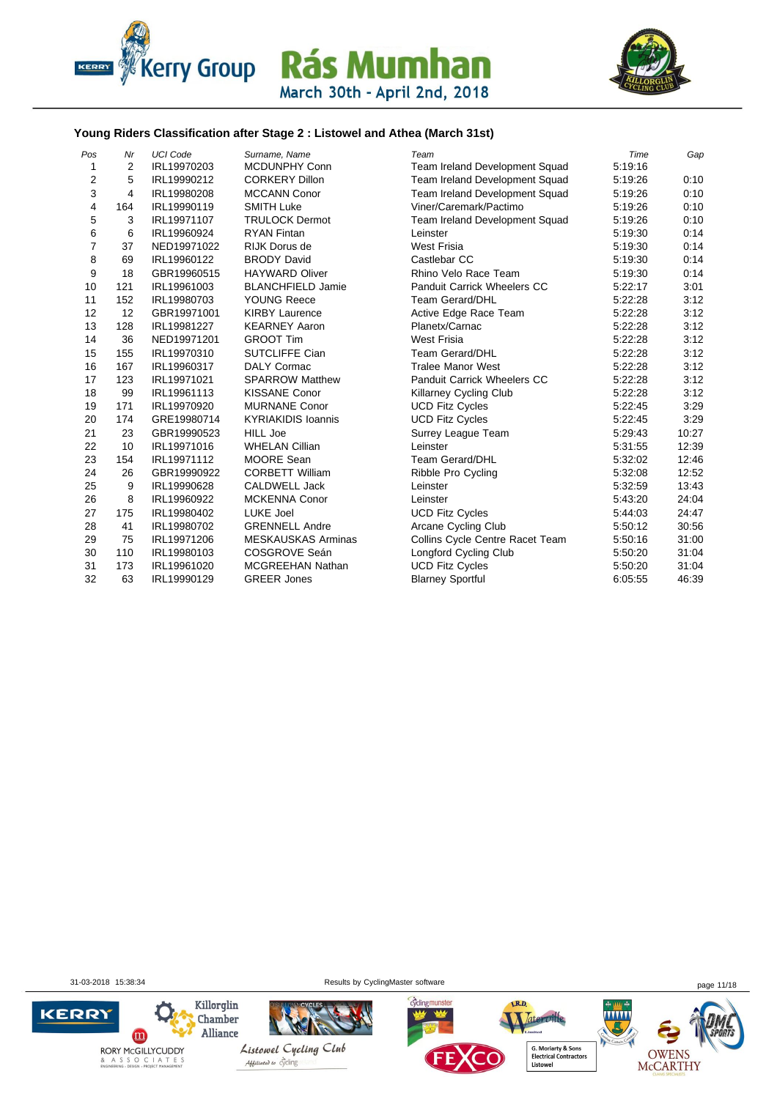



#### **Young Riders Classification after Stage 2 : Listowel and Athea (March 31st)**

| Pos            | Nr  | <b>UCI Code</b> | Surname, Name             | Team                               | Time    | Gap   |
|----------------|-----|-----------------|---------------------------|------------------------------------|---------|-------|
| 1              | 2   | IRL19970203     | <b>MCDUNPHY Conn</b>      | Team Ireland Development Squad     | 5:19:16 |       |
| $\overline{2}$ | 5   | IRL19990212     | <b>CORKERY Dillon</b>     | Team Ireland Development Squad     | 5:19:26 | 0:10  |
| 3              | 4   | IRL19980208     | <b>MCCANN Conor</b>       | Team Ireland Development Squad     | 5:19:26 | 0:10  |
| 4              | 164 | IRL19990119     | <b>SMITH Luke</b>         | Viner/Caremark/Pactimo             | 5:19:26 | 0:10  |
| 5              | 3   | IRL19971107     | <b>TRULOCK Dermot</b>     | Team Ireland Development Squad     | 5:19:26 | 0:10  |
| 6              | 6   | IRL19960924     | <b>RYAN Fintan</b>        | Leinster                           | 5:19:30 | 0:14  |
| 7              | 37  | NED19971022     | <b>RIJK Dorus de</b>      | <b>West Frisia</b>                 | 5:19:30 | 0:14  |
| 8              | 69  | IRL19960122     | <b>BRODY David</b>        | Castlebar CC                       | 5:19:30 | 0:14  |
| 9              | 18  | GBR19960515     | <b>HAYWARD Oliver</b>     | Rhino Velo Race Team               | 5:19:30 | 0:14  |
| 10             | 121 | IRL19961003     | <b>BLANCHFIELD Jamie</b>  | <b>Panduit Carrick Wheelers CC</b> | 5:22:17 | 3:01  |
| 11             | 152 | IRL19980703     | <b>YOUNG Reece</b>        | <b>Team Gerard/DHL</b>             | 5:22:28 | 3:12  |
| 12             | 12  | GBR19971001     | <b>KIRBY Laurence</b>     | Active Edge Race Team              | 5:22:28 | 3:12  |
| 13             | 128 | IRL19981227     | <b>KEARNEY Aaron</b>      | Planetx/Carnac                     | 5:22:28 | 3:12  |
| 14             | 36  | NED19971201     | <b>GROOT Tim</b>          | <b>West Frisia</b>                 | 5:22:28 | 3:12  |
| 15             | 155 | IRL19970310     | SUTCLIFFE Cian            | <b>Team Gerard/DHL</b>             | 5:22:28 | 3:12  |
| 16             | 167 | IRL19960317     | <b>DALY Cormac</b>        | <b>Tralee Manor West</b>           | 5:22:28 | 3:12  |
| 17             | 123 | IRL19971021     | <b>SPARROW Matthew</b>    | <b>Panduit Carrick Wheelers CC</b> | 5:22:28 | 3:12  |
| 18             | 99  | IRL19961113     | <b>KISSANE Conor</b>      | Killarney Cycling Club             | 5:22:28 | 3:12  |
| 19             | 171 | IRL19970920     | <b>MURNANE Conor</b>      | <b>UCD Fitz Cycles</b>             | 5:22:45 | 3:29  |
| 20             | 174 | GRE19980714     | <b>KYRIAKIDIS Ioannis</b> | <b>UCD Fitz Cycles</b>             | 5:22:45 | 3:29  |
| 21             | 23  | GBR19990523     | <b>HILL Joe</b>           | Surrey League Team                 | 5:29:43 | 10:27 |
| 22             | 10  | IRL19971016     | <b>WHELAN Cillian</b>     | Leinster                           | 5:31:55 | 12:39 |
| 23             | 154 | IRL19971112     | <b>MOORE Sean</b>         | <b>Team Gerard/DHL</b>             | 5:32:02 | 12:46 |
| 24             | 26  | GBR19990922     | <b>CORBETT William</b>    | Ribble Pro Cycling                 | 5:32:08 | 12:52 |
| 25             | 9   | IRL19990628     | CALDWELL Jack             | Leinster                           | 5:32:59 | 13:43 |
| 26             | 8   | IRL19960922     | <b>MCKENNA Conor</b>      | Leinster                           | 5:43:20 | 24:04 |
| 27             | 175 | IRL19980402     | <b>LUKE Joel</b>          | <b>UCD Fitz Cycles</b>             | 5.44.03 | 24:47 |
| 28             | 41  | IRL19980702     | <b>GRENNELL Andre</b>     | Arcane Cycling Club                | 5:50:12 | 30:56 |
| 29             | 75  | IRL19971206     | <b>MESKAUSKAS Arminas</b> | Collins Cycle Centre Racet Team    | 5:50:16 | 31:00 |
| 30             | 110 | IRL19980103     | COSGROVE Seán             | <b>Longford Cycling Club</b>       | 5:50:20 | 31:04 |
| 31             | 173 | IRL19961020     | <b>MCGREEHAN Nathan</b>   | <b>UCD Fitz Cycles</b>             | 5:50:20 | 31:04 |
| 32             | 63  | IRL19990129     | <b>GREER Jones</b>        | <b>Blarney Sportful</b>            | 6:05:55 | 46:39 |

31-03-2018 15:38:34 Results by CyclingMaster software page 11/18

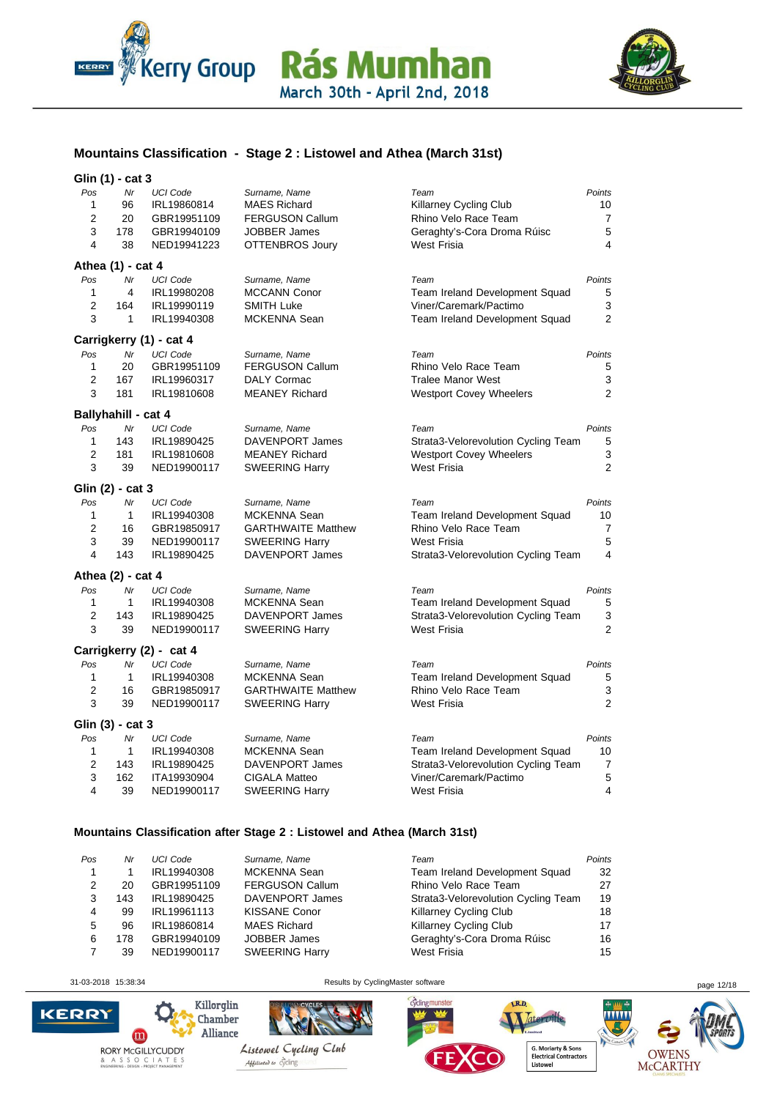



### **Mountains Classification - Stage 2 : Listowel and Athea (March 31st)**

#### **Glin (1) - cat 3**

|                | $\cdots$            |                         |                           |                                     |                         |
|----------------|---------------------|-------------------------|---------------------------|-------------------------------------|-------------------------|
| Pos            | Nr                  | <b>UCI Code</b>         | Surname, Name             | Team                                | Points                  |
| $\mathbf{1}$   | 96                  | IRL19860814             | <b>MAES Richard</b>       | Killarney Cycling Club              | 10                      |
| $\overline{2}$ | 20                  | GBR19951109             | <b>FERGUSON Callum</b>    | Rhino Velo Race Team                | $\overline{7}$          |
| 3              | 178                 | GBR19940109             | <b>JOBBER James</b>       | Geraghty's-Cora Droma Rúisc         | $\overline{5}$          |
| 4              | 38                  | NED19941223             | OTTENBROS Joury           | West Frisia                         | 4                       |
|                | Athea (1) - cat 4   |                         |                           |                                     |                         |
| Pos            | Nr                  | <b>UCI Code</b>         | Surname, Name             | Team                                | Points                  |
| 1              | 4                   | IRL19980208             | MCCANN Conor              | Team Ireland Development Squad      | 5                       |
| $\overline{2}$ | 164                 | IRL19990119             | <b>SMITH Luke</b>         | Viner/Caremark/Pactimo              | 3                       |
| 3              | $\mathbf{1}$        | IRL19940308             | <b>MCKENNA Sean</b>       | Team Ireland Development Squad      | $\overline{2}$          |
|                |                     | Carrigkerry (1) - cat 4 |                           |                                     |                         |
| Pos            | Nr                  | <b>UCI Code</b>         | Surname, Name             | Team                                | Points                  |
| 1              | 20                  | GBR19951109             | <b>FERGUSON Callum</b>    | Rhino Velo Race Team                | 5                       |
| $\overline{2}$ | 167                 | IRL19960317             | DALY Cormac               | <b>Tralee Manor West</b>            | 3                       |
| 3              | 181                 | IRL19810608             | <b>MEANEY Richard</b>     | <b>Westport Covey Wheelers</b>      | 2                       |
|                | Ballyhahill - cat 4 |                         |                           |                                     |                         |
| Pos            | Nr                  | <b>UCI Code</b>         | Surname, Name             | Team                                | Points                  |
| 1              | 143                 | IRL19890425             | <b>DAVENPORT James</b>    | Strata3-Velorevolution Cycling Team | 5                       |
| $\overline{2}$ | 181                 | IRL19810608             | <b>MEANEY Richard</b>     | <b>Westport Covey Wheelers</b>      | 3                       |
| 3              | 39                  | NED19900117             | <b>SWEERING Harry</b>     | <b>West Frisia</b>                  | $\overline{2}$          |
|                | Glin (2) - cat 3    |                         |                           |                                     |                         |
| Pos            | Nr                  | <b>UCI Code</b>         | Surname, Name             | Team                                | Points                  |
| 1              | $\mathbf{1}$        | IRL19940308             | MCKENNA Sean              | Team Ireland Development Squad      | 10                      |
| 2              | 16                  | GBR19850917             | <b>GARTHWAITE Matthew</b> | Rhino Velo Race Team                | 7                       |
| 3              | 39                  | NED19900117             | <b>SWEERING Harry</b>     | <b>West Frisia</b>                  | 5                       |
| 4              | 143                 | IRL19890425             | DAVENPORT James           | Strata3-Velorevolution Cycling Team | $\overline{\mathbf{4}}$ |
|                | Athea (2) - cat 4   |                         |                           |                                     |                         |
| Pos            | Nr                  | <b>UCI Code</b>         | Surname, Name             | Team                                | Points                  |
| 1              | $\mathbf{1}$        | IRL19940308             | MCKENNA Sean              | Team Ireland Development Squad      | 5                       |
| 2              | 143                 | IRL19890425             | DAVENPORT James           | Strata3-Velorevolution Cycling Team | 3                       |
| 3              | 39                  | NED19900117             | <b>SWEERING Harry</b>     | <b>West Frisia</b>                  | 2                       |
|                |                     | Carrigkerry (2) - cat 4 |                           |                                     |                         |
| Pos            | Nr                  | <b>UCI Code</b>         | Surname, Name             | Team                                | Points                  |
| 1              | $\mathbf{1}$        | IRL19940308             | <b>MCKENNA Sean</b>       | Team Ireland Development Squad      | $\,$ 5 $\,$             |
| $\overline{2}$ | 16                  | GBR19850917             | <b>GARTHWAITE Matthew</b> | Rhino Velo Race Team                | 3                       |
| 3              | 39                  | NED19900117             | <b>SWEERING Harry</b>     | <b>West Frisia</b>                  | $\overline{2}$          |
|                | Glin (3) - cat 3    |                         |                           |                                     |                         |
| Pos            | Nr                  | <b>UCI Code</b>         | Surname, Name             | Team                                | Points                  |
| 1              | 1                   | IRL19940308             | MCKENNA Sean              | Team Ireland Development Squad      | 10                      |
| 2              | 143                 | IRL19890425             | <b>DAVENPORT James</b>    | Strata3-Velorevolution Cycling Team | $\overline{7}$          |
| 3              | 162                 | ITA19930904             | <b>CIGALA Matteo</b>      | Viner/Caremark/Pactimo              | $\overline{5}$          |
| 4              | 39                  | NED19900117             | <b>SWEERING Harry</b>     | <b>West Frisia</b>                  | $\overline{4}$          |
|                |                     |                         |                           |                                     |                         |

#### **Mountains Classification after Stage 2 : Listowel and Athea (March 31st)**

| Pos | Nr  | <b>UCI</b> Code | Surname, Name          | Team                                | Points |
|-----|-----|-----------------|------------------------|-------------------------------------|--------|
|     |     | IRL19940308     | MCKENNA Sean           | Team Ireland Development Squad      | 32     |
| 2   | 20  | GBR19951109     | <b>FERGUSON Callum</b> | Rhino Velo Race Team                | 27     |
| 3   | 143 | IRL19890425     | DAVENPORT James        | Strata3-Velorevolution Cycling Team | 19     |
| 4   | 99  | IRL19961113     | <b>KISSANE Conor</b>   | Killarney Cycling Club              | 18     |
| 5   | 96  | IRL19860814     | <b>MAES Richard</b>    | Killarney Cycling Club              | 17     |
| 6   | 178 | GBR19940109     | <b>JOBBER James</b>    | Geraghty's-Cora Droma Rúisc         | 16     |
|     | 39  | NED19900117     | <b>SWEERING Harry</b>  | West Frisia                         | 15     |
|     |     |                 |                        |                                     |        |

 $\mathbf{m}$ 

**KERRY** 

31-03-2018 15:38:34 Results by CyclingMaster software page 12/18



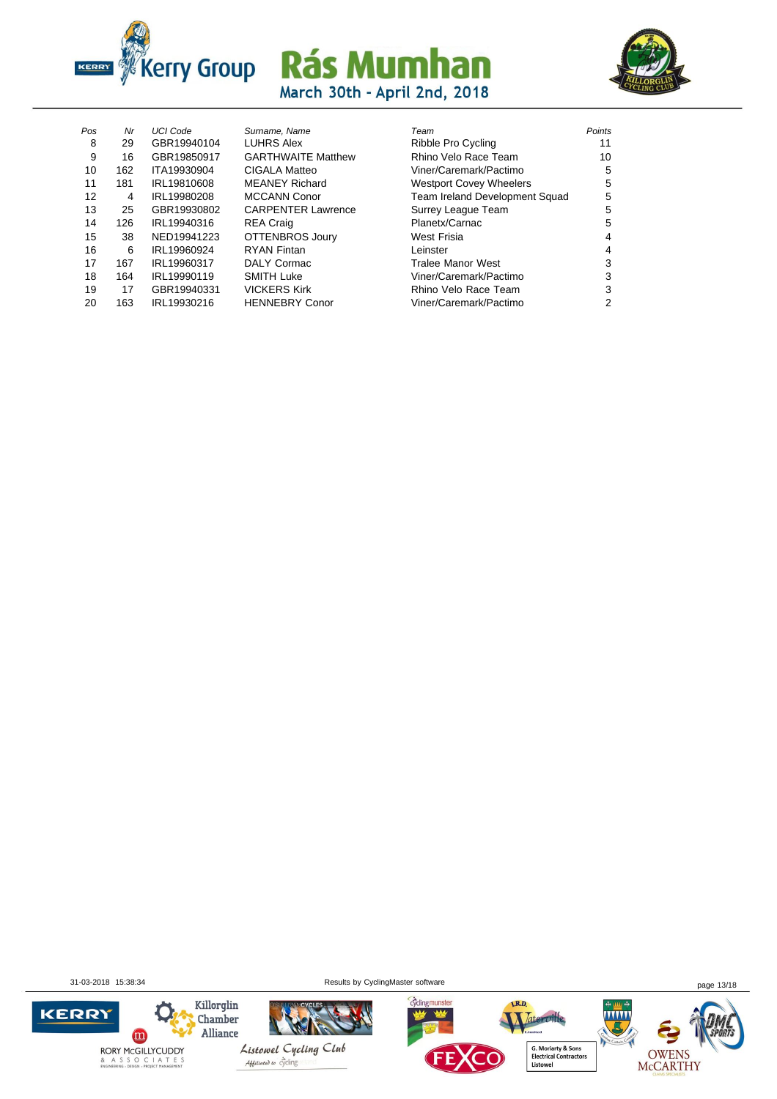



| Pos | Nr  | <b>UCI Code</b> | Surname, Name             | Team                           | Points |
|-----|-----|-----------------|---------------------------|--------------------------------|--------|
| 8   | 29  | GBR19940104     | <b>LUHRS Alex</b>         | Ribble Pro Cycling             | 11     |
| 9   | 16  | GBR19850917     | <b>GARTHWAITE Matthew</b> | Rhino Velo Race Team           | 10     |
| 10  | 162 | ITA19930904     | <b>CIGALA Matteo</b>      | Viner/Caremark/Pactimo         | 5      |
| 11  | 181 | IRL19810608     | <b>MEANEY Richard</b>     | <b>Westport Covey Wheelers</b> | 5      |
| 12  | 4   | IRL19980208     | <b>MCCANN Conor</b>       | Team Ireland Development Squad | 5      |
| 13  | 25  | GBR19930802     | <b>CARPENTER Lawrence</b> | Surrey League Team             | 5      |
| 14  | 126 | IRL19940316     | <b>REA Craig</b>          | Planetx/Carnac                 | 5      |
| 15  | 38  | NED19941223     | OTTENBROS Joury           | West Frisia                    | 4      |
| 16  | 6   | IRL19960924     | <b>RYAN Fintan</b>        | Leinster                       | 4      |
| 17  | 167 | IRL19960317     | DALY Cormac               | <b>Tralee Manor West</b>       | 3      |
| 18  | 164 | IRL19990119     | <b>SMITH Luke</b>         | Viner/Caremark/Pactimo         | 3      |
| 19  | 17  | GBR19940331     | <b>VICKERS Kirk</b>       | Rhino Velo Race Team           | 3      |
| 20  | 163 | IRL19930216     | <b>HENNEBRY Conor</b>     | Viner/Caremark/Pactimo         | 2      |
|     |     |                 |                           |                                |        |

| -os | <b>Nr</b> | UCI Code    | Surname, Name             | ı eam                          | Points |
|-----|-----------|-------------|---------------------------|--------------------------------|--------|
| 8   | 29        | GBR19940104 | <b>LUHRS Alex</b>         | Ribble Pro Cycling             | 11     |
| -9  | 16        | GBR19850917 | <b>GARTHWAITE Matthew</b> | Rhino Velo Race Team           | 10     |
| 10  | 162       | ITA19930904 | CIGALA Matteo             | Viner/Caremark/Pactimo         | 5      |
| 11  | 181       | IRL19810608 | <b>MEANEY Richard</b>     | <b>Westport Covey Wheelers</b> | 5      |
| 12  | 4         | IRL19980208 | <b>MCCANN Conor</b>       | Team Ireland Development Squad | 5      |
| 13  | 25        | GBR19930802 | <b>CARPENTER Lawrence</b> | Surrey League Team             | 5      |
| 14  | 126       | IRL19940316 | <b>REA Craig</b>          | Planetx/Carnac                 | 5      |
| 15  | 38        | NED19941223 | OTTENBROS Joury           | West Frisia                    | 4      |
| 16  | 6         | IRL19960924 | <b>RYAN Fintan</b>        | Leinster                       | 4      |
| 17  | 167       | IRL19960317 | DALY Cormac               | <b>Tralee Manor West</b>       | 3      |
| 18  | 164       | IRL19990119 | <b>SMITH Luke</b>         | Viner/Caremark/Pactimo         | 3      |
| 19  | 17        | GBR19940331 | <b>VICKERS Kirk</b>       | Rhino Velo Race Team           | 3      |
| 20  | 163       | IRL19930216 | <b>HENNEBRY Conor</b>     | Viner/Caremark/Pactimo         | 2      |
|     |           |             |                           |                                |        |

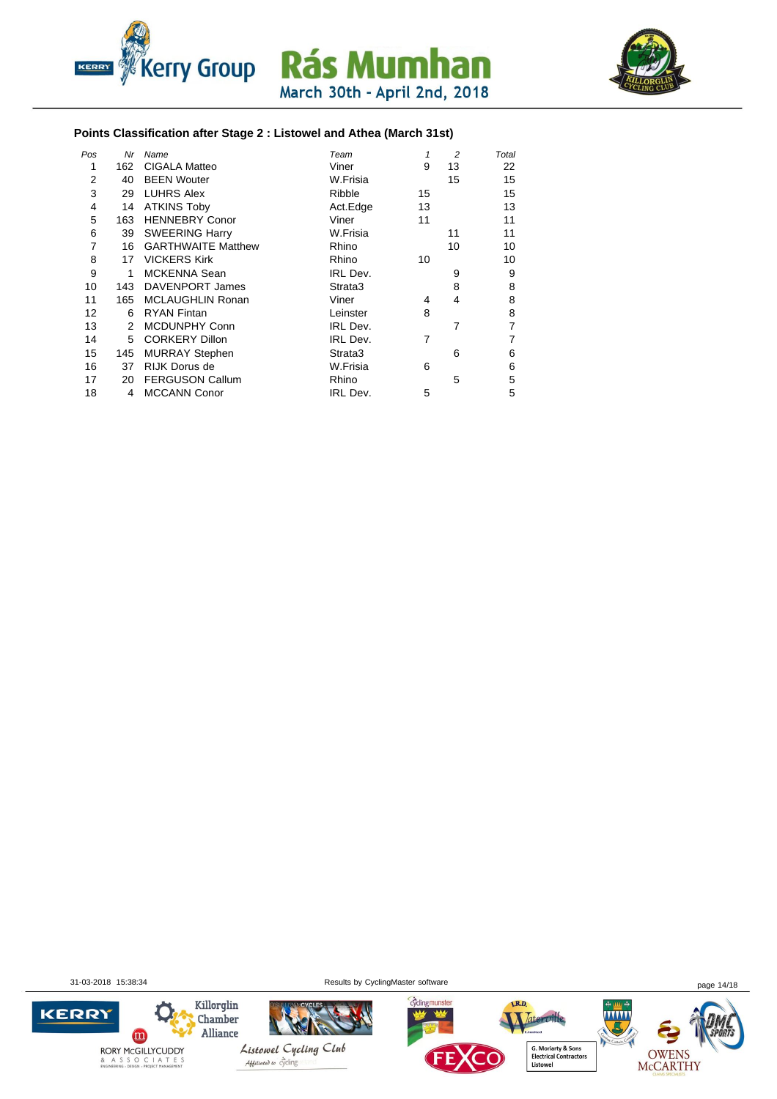



#### **Points Classification after Stage 2 : Listowel and Athea (March 31st)**

| Pos | Nr  | Name                      | Team            | 1  | 2  | Total |
|-----|-----|---------------------------|-----------------|----|----|-------|
| 1   | 162 | CIGALA Matteo             | Viner           | 9  | 13 | 22    |
| 2   | 40  | <b>BEEN Wouter</b>        | W.Frisia        |    | 15 | 15    |
| 3   | 29  | <b>LUHRS Alex</b>         | Ribble          | 15 |    | 15    |
| 4   | 14  | <b>ATKINS Toby</b>        | Act.Edge        | 13 |    | 13    |
| 5   | 163 | <b>HENNEBRY Conor</b>     | Viner           | 11 |    | 11    |
| 6   | 39  | <b>SWEERING Harry</b>     | W.Frisia        |    | 11 | 11    |
| 7   | 16  | <b>GARTHWAITE Matthew</b> | Rhino           |    | 10 | 10    |
| 8   | 17  | <b>VICKERS Kirk</b>       | Rhino           | 10 |    | 10    |
| 9   | 1   | <b>MCKENNA Sean</b>       | IRL Dev.        |    | 9  | 9     |
| 10  | 143 | DAVENPORT James           | Strata3         |    | 8  | 8     |
| 11  | 165 | <b>MCLAUGHLIN Ronan</b>   | Viner           | 4  | 4  | 8     |
| 12  | 6   | <b>RYAN Fintan</b>        | Leinster        | 8  |    | 8     |
| 13  | 2   | <b>MCDUNPHY Conn</b>      | IRL Dev.        |    | 7  | 7     |
| 14  | 5   | <b>CORKERY Dillon</b>     | IRL Dev.        | 7  |    | 7     |
| 15  | 145 | <b>MURRAY Stephen</b>     | Strata3         |    | 6  | 6     |
| 16  | 37  | <b>RIJK Dorus de</b>      | W.Frisia        | 6  |    | 6     |
| 17  | 20  | <b>FERGUSON Callum</b>    | Rhino           |    | 5  | 5     |
| 18  | 4   | <b>MCCANN Conor</b>       | <b>IRL Dev.</b> | 5  |    | 5     |

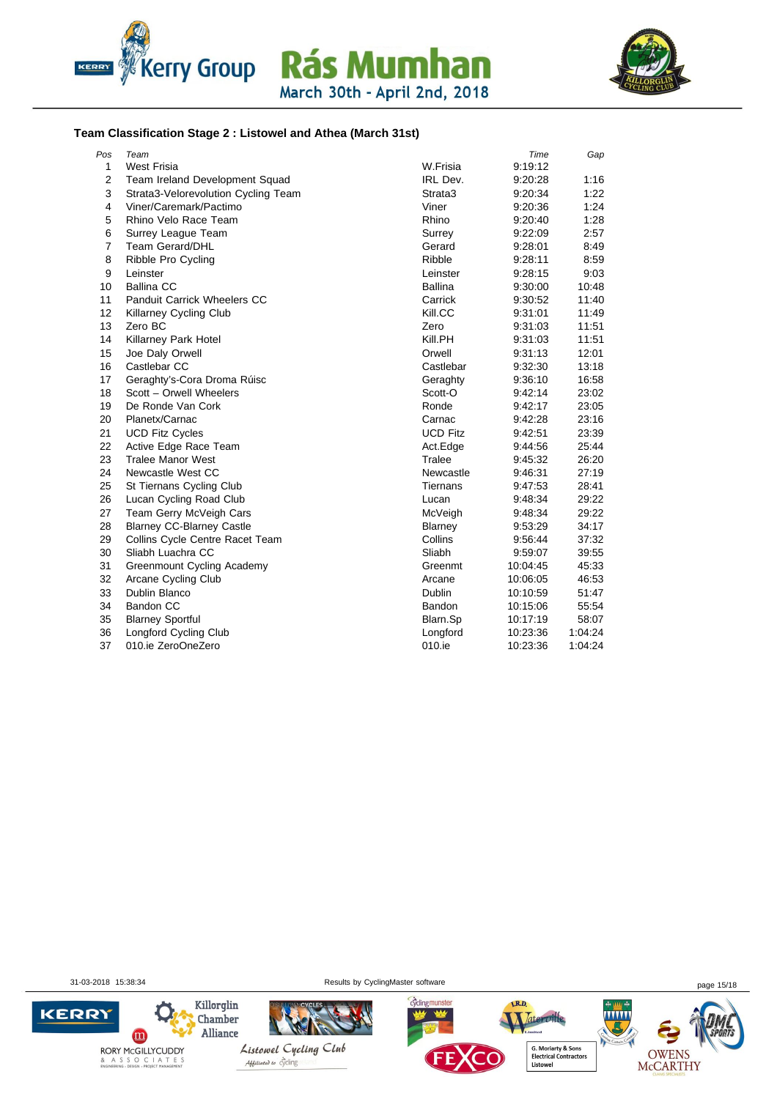



#### **Team Classification Stage 2 : Listowel and Athea (March 31st)**

| Pos | Team                                |                 | Time     | Gap     |
|-----|-------------------------------------|-----------------|----------|---------|
| 1   | <b>West Frisia</b>                  | W.Frisia        | 9:19:12  |         |
| 2   | Team Ireland Development Squad      | IRL Dev.        | 9:20:28  | 1:16    |
| 3   | Strata3-Velorevolution Cycling Team | Strata3         | 9:20:34  | 1:22    |
| 4   | Viner/Caremark/Pactimo              | Viner           | 9:20:36  | 1:24    |
| 5   | Rhino Velo Race Team                | Rhino           | 9:20:40  | 1:28    |
| 6   | Surrey League Team                  | Surrey          | 9:22:09  | 2:57    |
| 7   | <b>Team Gerard/DHL</b>              | Gerard          | 9:28:01  | 8:49    |
| 8   | Ribble Pro Cycling                  | Ribble          | 9:28:11  | 8:59    |
| 9   | Leinster                            | Leinster        | 9:28:15  | 9:03    |
| 10  | <b>Ballina CC</b>                   | <b>Ballina</b>  | 9:30:00  | 10:48   |
| 11  | <b>Panduit Carrick Wheelers CC</b>  | Carrick         | 9:30:52  | 11:40   |
| 12  | Killarney Cycling Club              | Kill.CC         | 9:31:01  | 11:49   |
| 13  | Zero BC                             | Zero            | 9:31:03  | 11:51   |
| 14  | Killarney Park Hotel                | Kill.PH         | 9:31:03  | 11:51   |
| 15  | Joe Daly Orwell                     | Orwell          | 9:31:13  | 12:01   |
| 16  | Castlebar CC                        | Castlebar       | 9:32:30  | 13:18   |
| 17  | Geraghty's-Cora Droma Rúisc         | Geraghty        | 9:36:10  | 16:58   |
| 18  | Scott - Orwell Wheelers             | Scott-O         | 9:42:14  | 23:02   |
| 19  | De Ronde Van Cork                   | Ronde           | 9:42:17  | 23:05   |
| 20  | Planetx/Carnac                      | Carnac          | 9:42:28  | 23:16   |
| 21  | <b>UCD Fitz Cycles</b>              | <b>UCD Fitz</b> | 9:42:51  | 23:39   |
| 22  | Active Edge Race Team               | Act.Edge        | 9:44:56  | 25:44   |
| 23  | <b>Tralee Manor West</b>            | Tralee          | 9:45:32  | 26:20   |
| 24  | Newcastle West CC                   | Newcastle       | 9:46:31  | 27:19   |
| 25  | St Tiernans Cycling Club            | Tiernans        | 9:47:53  | 28:41   |
| 26  | Lucan Cycling Road Club             | Lucan           | 9:48:34  | 29:22   |
| 27  | Team Gerry McVeigh Cars             | McVeigh         | 9:48:34  | 29:22   |
| 28  | <b>Blarney CC-Blarney Castle</b>    | Blarney         | 9:53:29  | 34:17   |
| 29  | Collins Cycle Centre Racet Team     | Collins         | 9:56:44  | 37:32   |
| 30  | Sliabh Luachra CC                   | Sliabh          | 9:59:07  | 39:55   |
| 31  | <b>Greenmount Cycling Academy</b>   | Greenmt         | 10:04:45 | 45:33   |
| 32  | Arcane Cycling Club                 | Arcane          | 10:06:05 | 46:53   |
| 33  | Dublin Blanco                       | Dublin          | 10:10:59 | 51:47   |
| 34  | <b>Bandon CC</b>                    | Bandon          | 10:15:06 | 55:54   |
| 35  | <b>Blarney Sportful</b>             | Blarn.Sp        | 10:17:19 | 58:07   |
| 36  | <b>Longford Cycling Club</b>        | Longford        | 10:23:36 | 1:04:24 |
| 37  | 010.ie ZeroOneZero                  | 010.ie          | 10:23:36 | 1:04:24 |
|     |                                     |                 |          |         |

31-03-2018 15:38:34 Results by CyclingMaster software page 15/18

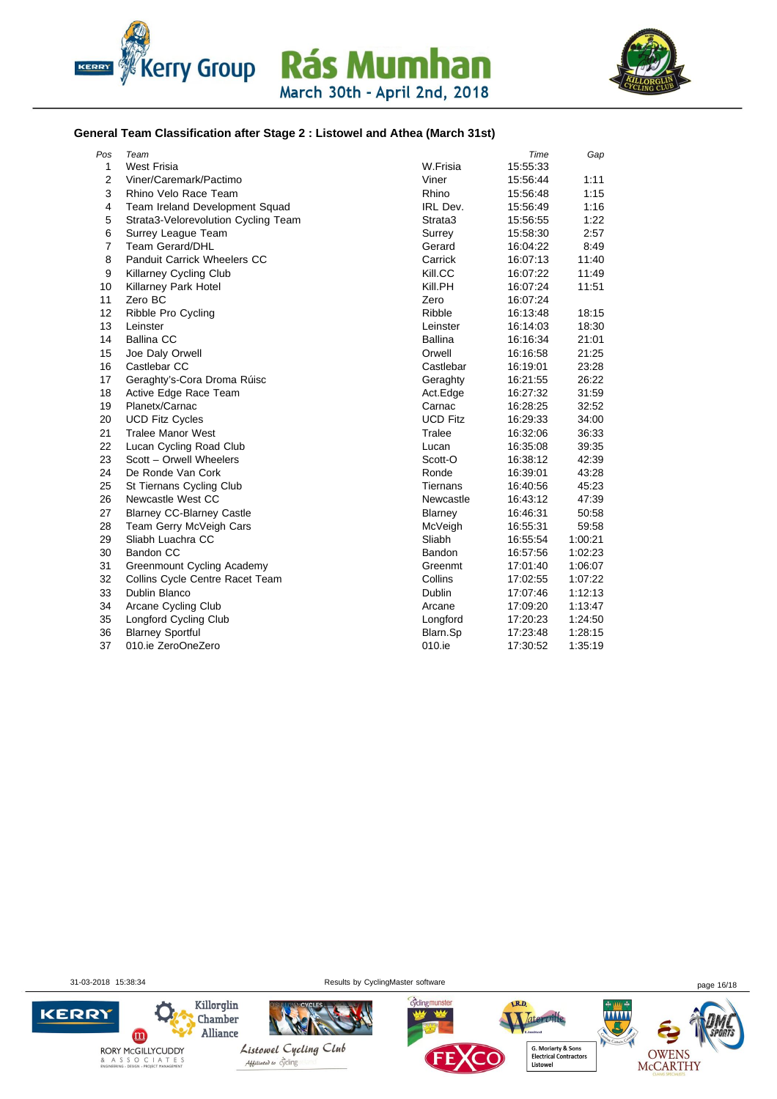



#### **General Team Classification after Stage 2 : Listowel and Athea (March 31st)**

| Pos            | Team                                |                 | Time     | Gap     |
|----------------|-------------------------------------|-----------------|----------|---------|
| 1              | <b>West Frisia</b>                  | W.Frisia        | 15:55:33 |         |
| $\overline{2}$ | Viner/Caremark/Pactimo              | Viner           | 15:56:44 | 1:11    |
| 3              | Rhino Velo Race Team                | Rhino           | 15:56:48 | 1:15    |
| $\overline{4}$ | Team Ireland Development Squad      | IRL Dev.        | 15:56:49 | 1:16    |
| 5              | Strata3-Velorevolution Cycling Team | Strata3         | 15:56:55 | 1:22    |
| 6              | Surrey League Team                  | Surrey          | 15:58:30 | 2:57    |
| $\overline{7}$ | <b>Team Gerard/DHL</b>              | Gerard          | 16:04:22 | 8:49    |
| 8              | <b>Panduit Carrick Wheelers CC</b>  | Carrick         | 16:07:13 | 11:40   |
| 9              | Killarney Cycling Club              | Kill.CC         | 16:07:22 | 11:49   |
| 10             | Killarney Park Hotel                | Kill.PH         | 16:07:24 | 11:51   |
| 11             | Zero BC                             | Zero            | 16:07:24 |         |
| 12             | Ribble Pro Cycling                  | Ribble          | 16:13:48 | 18:15   |
| 13             | Leinster                            | Leinster        | 16:14:03 | 18:30   |
| 14             | <b>Ballina CC</b>                   | <b>Ballina</b>  | 16:16:34 | 21:01   |
| 15             | Joe Daly Orwell                     | Orwell          | 16:16:58 | 21:25   |
| 16             | Castlebar CC                        | Castlebar       | 16:19:01 | 23:28   |
| 17             | Geraghty's-Cora Droma Rúisc         | Geraghty        | 16:21:55 | 26:22   |
| 18             | Active Edge Race Team               | Act.Edge        | 16:27:32 | 31:59   |
| 19             | Planetx/Carnac                      | Carnac          | 16:28:25 | 32:52   |
| 20             | <b>UCD Fitz Cycles</b>              | <b>UCD Fitz</b> | 16:29:33 | 34:00   |
| 21             | <b>Tralee Manor West</b>            | Tralee          | 16:32:06 | 36:33   |
| 22             | Lucan Cycling Road Club             | Lucan           | 16:35:08 | 39:35   |
| 23             | Scott - Orwell Wheelers             | Scott-O         | 16:38:12 | 42:39   |
| 24             | De Ronde Van Cork                   | Ronde           | 16:39:01 | 43:28   |
| 25             | St Tiernans Cycling Club            | Tiernans        | 16:40:56 | 45:23   |
| 26             | Newcastle West CC                   | Newcastle       | 16:43:12 | 47:39   |
| 27             | <b>Blarney CC-Blarney Castle</b>    | Blarney         | 16:46:31 | 50:58   |
| 28             | Team Gerry McVeigh Cars             | McVeigh         | 16:55:31 | 59:58   |
| 29             | Sliabh Luachra CC                   | Sliabh          | 16:55:54 | 1:00:21 |
| 30             | <b>Bandon CC</b>                    | Bandon          | 16:57:56 | 1:02:23 |
| 31             | <b>Greenmount Cycling Academy</b>   | Greenmt         | 17:01:40 | 1:06:07 |
| 32             | Collins Cycle Centre Racet Team     | Collins         | 17:02:55 | 1:07:22 |
| 33             | Dublin Blanco                       | Dublin          | 17:07:46 | 1:12:13 |
| 34             | Arcane Cycling Club                 | Arcane          | 17:09:20 | 1:13:47 |
| 35             | Longford Cycling Club               | Longford        | 17:20:23 | 1:24:50 |
| 36             | <b>Blarney Sportful</b>             | Blarn.Sp        | 17:23:48 | 1:28:15 |
| 37             | 010.ie ZeroOneZero                  | 010.ie          | 17:30:52 | 1:35:19 |

31-03-2018 15:38:34 Results by CyclingMaster software page 16/18

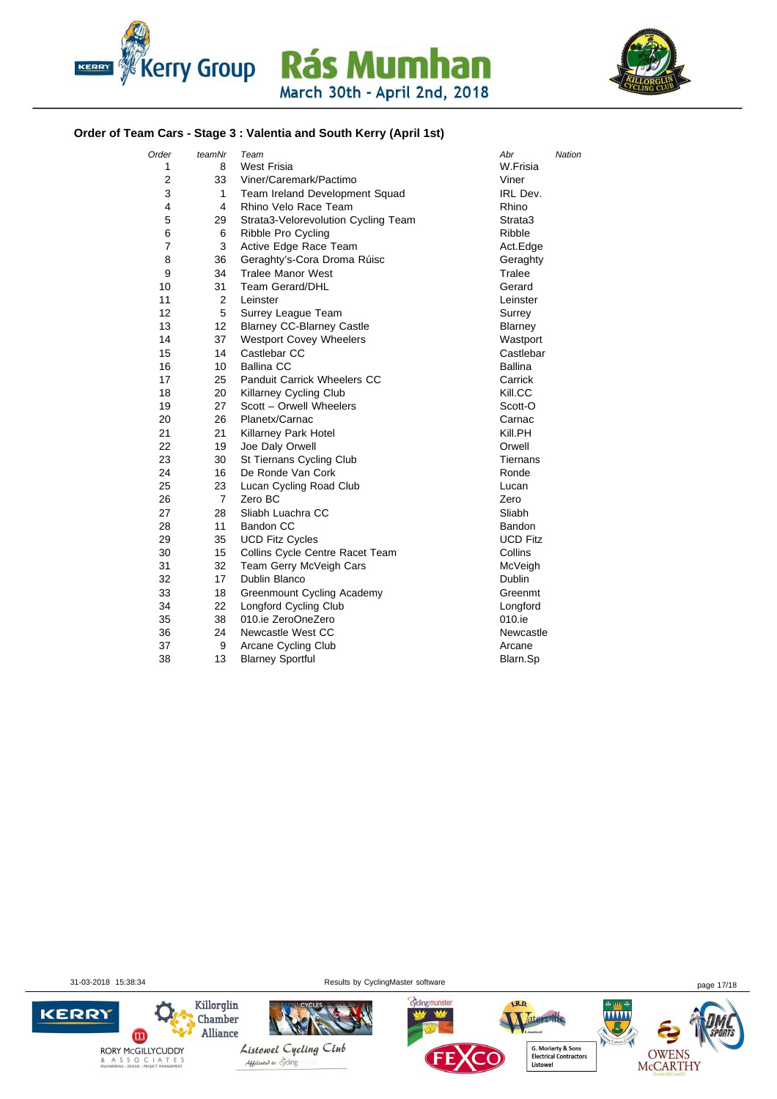



#### **Order of Team Cars - Stage 3 : Valentia and South Kerry (April 1st)**

| Order          | teamNr         | Team                                | Abr<br>Nation   |
|----------------|----------------|-------------------------------------|-----------------|
| 1              | 8              | <b>West Frisia</b>                  | W.Frisia        |
| 2              | 33             | Viner/Caremark/Pactimo              | Viner           |
| 3              | 1              | Team Ireland Development Squad      | IRL Dev.        |
| 4              | 4              | Rhino Velo Race Team                | Rhino           |
| 5              | 29             | Strata3-Velorevolution Cycling Team | Strata3         |
| 6              | 6              | Ribble Pro Cycling                  | Ribble          |
| $\overline{7}$ | 3              | Active Edge Race Team               | Act.Edge        |
| 8              | 36             | Geraghty's-Cora Droma Rúisc         | Geraghty        |
| 9              | 34             | <b>Tralee Manor West</b>            | Tralee          |
| 10             | 31             | <b>Team Gerard/DHL</b>              | Gerard          |
| 11             | 2              | Leinster                            | Leinster        |
| 12             | 5              | Surrey League Team                  | Surrey          |
| 13             | 12             | <b>Blarney CC-Blarney Castle</b>    | Blarney         |
| 14             | 37             | <b>Westport Covey Wheelers</b>      | Wastport        |
| 15             | 14             | Castlebar CC                        | Castlebar       |
| 16             | 10             | <b>Ballina CC</b>                   | <b>Ballina</b>  |
| 17             | 25             | Panduit Carrick Wheelers CC         | Carrick         |
| 18             | 20             | <b>Killarney Cycling Club</b>       | Kill.CC         |
| 19             | 27             | Scott - Orwell Wheelers             | Scott-O         |
| 20             | 26             | Planetx/Carnac                      | Carnac          |
| 21             | 21             | Killarney Park Hotel                | Kill.PH         |
| 22             | 19             | Joe Daly Orwell                     | Orwell          |
| 23             | 30             | St Tiernans Cycling Club            | Tiernans        |
| 24             | 16             | De Ronde Van Cork                   | Ronde           |
| 25             | 23             | Lucan Cycling Road Club             | Lucan           |
| 26             | $\overline{7}$ | Zero BC                             | Zero            |
| 27             | 28             | Sliabh Luachra CC                   | Sliabh          |
| 28             | 11             | <b>Bandon CC</b>                    | <b>Bandon</b>   |
| 29             | 35             | <b>UCD Fitz Cycles</b>              | <b>UCD Fitz</b> |
| 30             | 15             | Collins Cycle Centre Racet Team     | Collins         |
| 31             | 32             | Team Gerry McVeigh Cars             | McVeigh         |
| 32             | 17             | Dublin Blanco                       | Dublin          |
| 33             | 18             | Greenmount Cycling Academy          | Greenmt         |
| 34             | 22             | <b>Longford Cycling Club</b>        | Longford        |
| 35             | 38             | 010.ie ZeroOneZero                  | 010.ie          |
| 36             | 24             | Newcastle West CC                   | Newcastle       |
| 37             | 9              | Arcane Cycling Club                 | Arcane          |
| 38             | 13             | <b>Blarney Sportful</b>             | Blarn.Sp        |

31-03-2018 15:38:34 Results by CyclingMaster software page 17/18